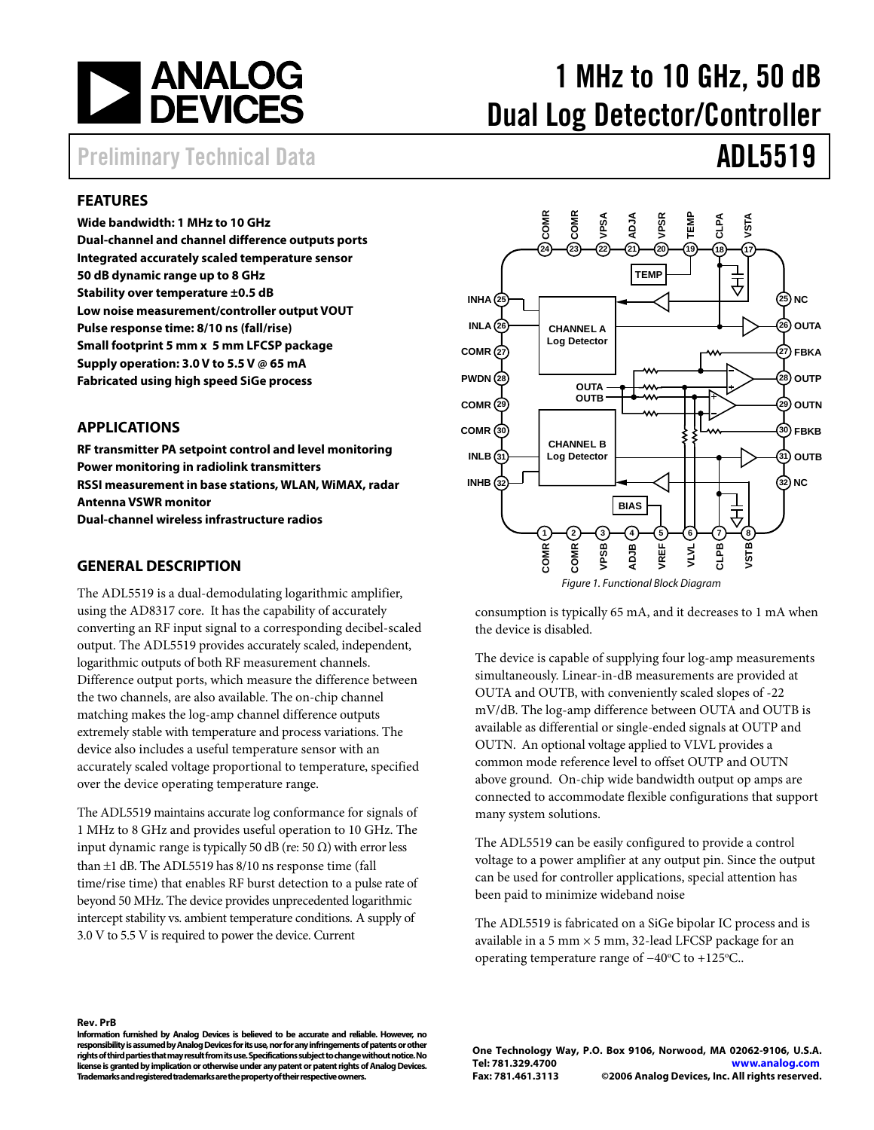<span id="page-0-0"></span>

# 1 MHz to 10 GHz, 50 dB Dual Log Detector/Controller

## Preliminary Technical Data **ADL5519**

### **FEATURES**

**Wide bandwidth: 1 MHz to 10 GHz Dual-channel and channel difference outputs ports Integrated accurately scaled temperature sensor 50 dB dynamic range up to 8 GHz Stability over temperature ±0.5 dB Low noise measurement/controller output VOUT Pulse response time: 8/10 ns (fall/rise) Small footprint 5 mm x 5 mm LFCSP package Supply operation: 3.0 V to 5.5 V @ 65 mA Fabricated using high speed SiGe process** 

### **APPLICATIONS**

**RF transmitter PA setpoint control and level monitoring Power monitoring in radiolink transmitters RSSI measurement in base stations, WLAN, WiMAX, radar Antenna VSWR monitor Dual-channel wireless infrastructure radios** 

#### **GENERAL DESCRIPTION**

The ADL5519 is a dual-demodulating logarithmic amplifier, using the AD8317 core. It has the capability of accurately converting an RF input signal to a corresponding decibel-scaled output. The ADL5519 provides accurately scaled, independent, logarithmic outputs of both RF measurement channels. Difference output ports, which measure the difference between the two channels, are also available. The on-chip channel matching makes the log-amp channel difference outputs extremely stable with temperature and process variations. The device also includes a useful temperature sensor with an accurately scaled voltage proportional to temperature, specified over the device operating temperature range.

The ADL5519 maintains accurate log conformance for signals of 1 MHz to 8 GHz and provides useful operation to 10 GHz. The input dynamic range is typically 50 dB (re: 50  $\Omega$ ) with error less than ±1 dB. The ADL5519 has 8/10 ns response time (fall time/rise time) that enables RF burst detection to a pulse rate of beyond 50 MHz. The device provides unprecedented logarithmic intercept stability vs. ambient temperature conditions. A supply of 3.0 V to 5.5 V is required to power the device. Current



consumption is typically 65 mA, and it decreases to 1 mA when the device is disabled.

The device is capable of supplying four log-amp measurements simultaneously. Linear-in-dB measurements are provided at OUTA and OUTB, with conveniently scaled slopes of -22 mV/dB. The log-amp difference between OUTA and OUTB is available as differential or single-ended signals at OUTP and OUTN. An optional voltage applied to VLVL provides a common mode reference level to offset OUTP and OUTN above ground. On-chip wide bandwidth output op amps are connected to accommodate flexible configurations that support many system solutions.

The ADL5519 can be easily configured to provide a control voltage to a power amplifier at any output pin. Since the output can be used for controller applications, special attention has been paid to minimize wideband noise

The ADL5519 is fabricated on a SiGe bipolar IC process and is available in a 5 mm  $\times$  5 mm, 32-lead LFCSP package for an operating temperature range of -40°C to +125°C..

#### **Rev. PrB**

 **Trademarks and registered trademarks are the property of their respective owners. Information furnished by Analog Devices is believed to be accurate and reliable. However, no responsibility is assumed by Analog Devices for its use, nor for any infringements of patents or other rights of third parties that may result from its use. Specifications subject to change without notice. No license is granted by implication or otherwise under any patent or patent rights of Analog Devices.** 

**One Technology Way, P.O. Box 9106, Norwood, MA 02062-9106, U.S.A. Tel: 781.329.4700 www.analog.com Fax: 781.461.3113 ©2006 Analog Devices, Inc. All rights reserved.**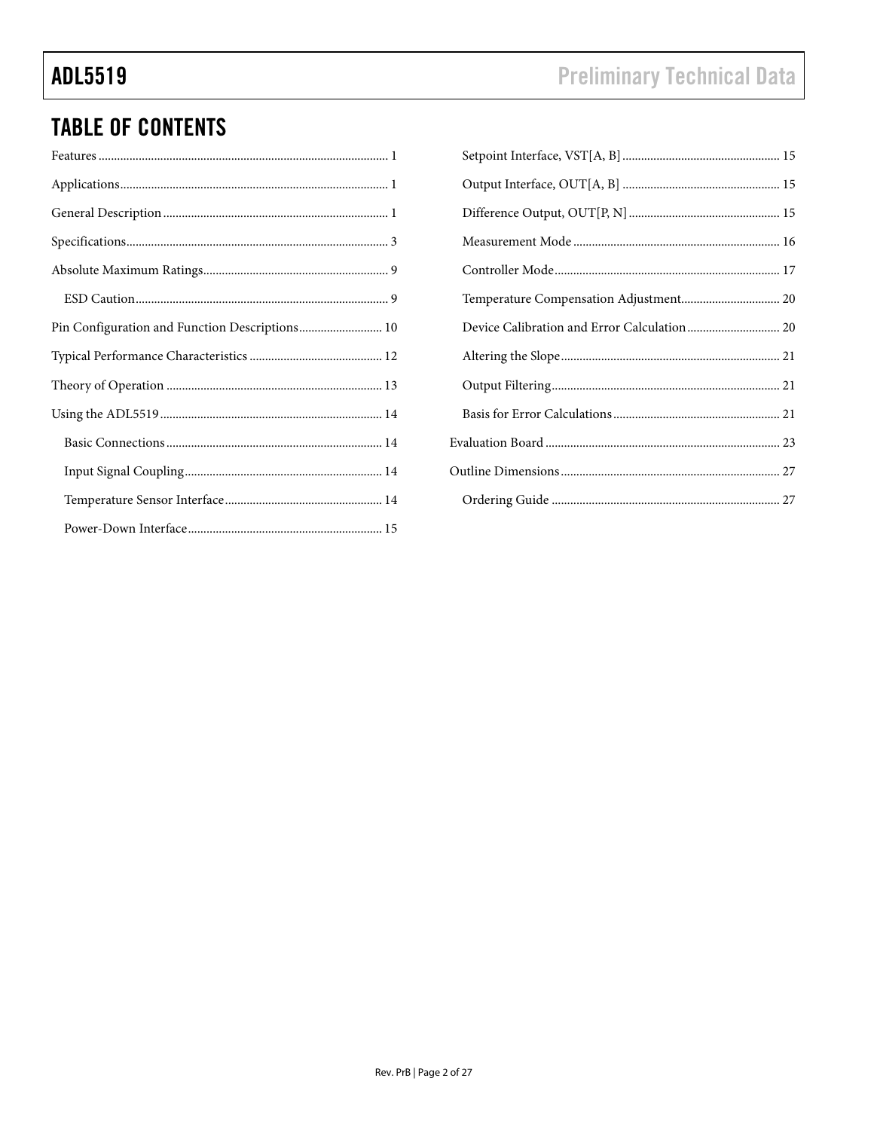## **TABLE OF CONTENTS**

| Pin Configuration and Function Descriptions 10 |
|------------------------------------------------|
|                                                |
|                                                |
|                                                |
|                                                |
|                                                |
|                                                |
|                                                |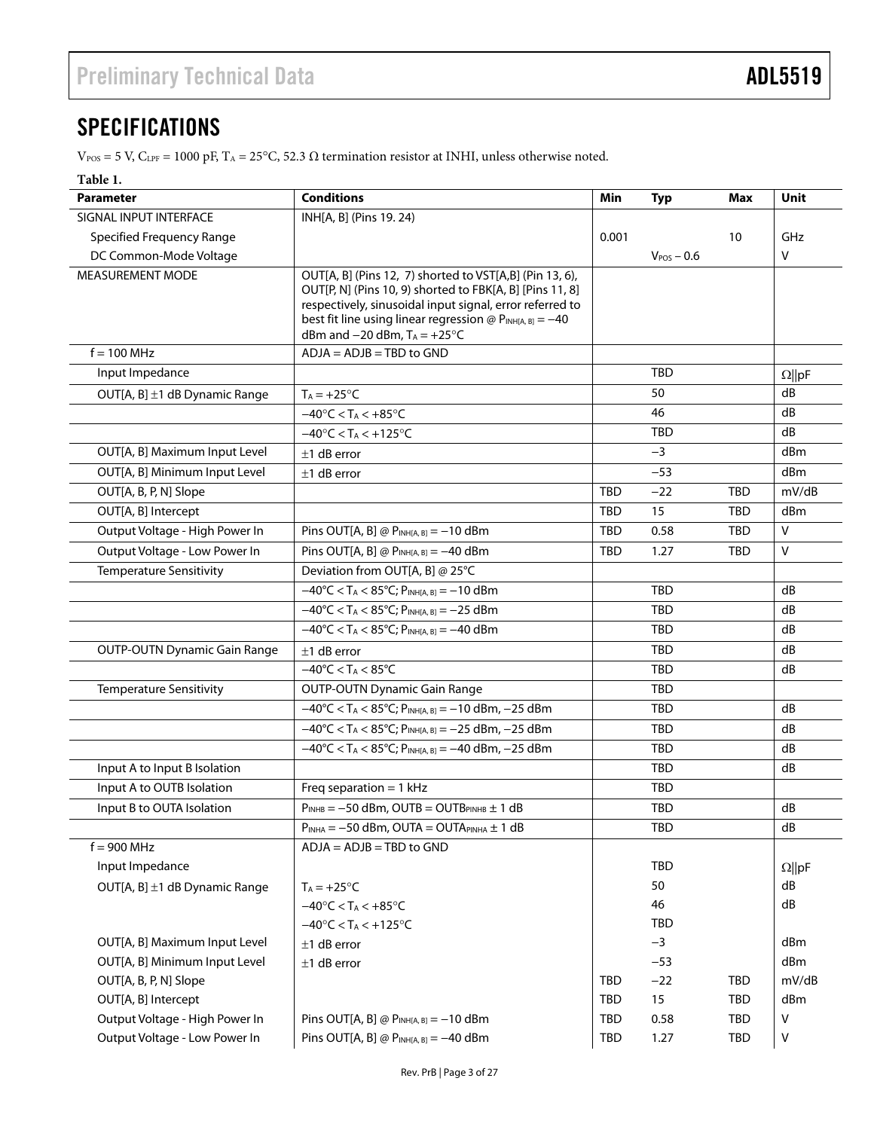## <span id="page-2-1"></span><span id="page-2-0"></span>**SPECIFICATIONS**

 $V_{POS} = 5$  V,  $C_{LPF} = 1000$  pF,  $T_A = 25^{\circ}C$ , 52.3  $\Omega$  termination resistor at INHI, unless otherwise noted.

#### **Table 1.**

| <b>Parameter</b>                    | <b>Conditions</b>                                                                                                                                                                                                                                                                  | Min        | <b>Typ</b>      | Max        | Unit          |
|-------------------------------------|------------------------------------------------------------------------------------------------------------------------------------------------------------------------------------------------------------------------------------------------------------------------------------|------------|-----------------|------------|---------------|
| SIGNAL INPUT INTERFACE              | INH[A, B] (Pins 19. 24)                                                                                                                                                                                                                                                            |            |                 |            |               |
| <b>Specified Frequency Range</b>    |                                                                                                                                                                                                                                                                                    | 0.001      |                 | 10         | GHz           |
| DC Common-Mode Voltage              |                                                                                                                                                                                                                                                                                    |            | $V_{POS}$ – 0.6 |            | V             |
| MEASUREMENT MODE                    | OUT[A, B] (Pins 12, 7) shorted to VST[A,B] (Pin 13, 6),<br>OUT[P, N] (Pins 10, 9) shorted to FBK[A, B] [Pins 11, 8]<br>respectively, sinusoidal input signal, error referred to<br>best fit line using linear regression $@$ PINH[A, B] = -40<br>dBm and $-20$ dBm, $T_A = +25$ °C |            |                 |            |               |
| $f = 100$ MHz                       | $ADJA = ADJB = TBD$ to $GND$                                                                                                                                                                                                                                                       |            |                 |            |               |
| Input Impedance                     |                                                                                                                                                                                                                                                                                    |            | <b>TBD</b>      |            | $\Omega$   pF |
| OUT[A, B] ±1 dB Dynamic Range       | $T_A = +25$ °C                                                                                                                                                                                                                                                                     |            | 50              |            | dB            |
|                                     | $-40^{\circ}$ C < T <sub>A</sub> < +85 $^{\circ}$ C                                                                                                                                                                                                                                |            | 46              |            | dB            |
|                                     | $-40^{\circ}$ C < T <sub>A</sub> < $+125^{\circ}$ C                                                                                                                                                                                                                                |            | <b>TBD</b>      |            | dB            |
| OUT[A, B] Maximum Input Level       | $±1$ dB error                                                                                                                                                                                                                                                                      |            | $-3$            |            | dBm           |
| OUT[A, B] Minimum Input Level       | $±1$ dB error                                                                                                                                                                                                                                                                      |            | $-53$           |            | dBm           |
| OUT[A, B, P, N] Slope               |                                                                                                                                                                                                                                                                                    | <b>TBD</b> | $-22$           | <b>TBD</b> | mV/dB         |
| OUT[A, B] Intercept                 |                                                                                                                                                                                                                                                                                    | <b>TBD</b> | 15              | TBD        | dBm           |
| Output Voltage - High Power In      | Pins OUT[A, B] @ $P_{INH[A, B]} = -10$ dBm                                                                                                                                                                                                                                         | <b>TBD</b> | 0.58            | <b>TBD</b> | $\mathsf{V}$  |
| Output Voltage - Low Power In       | Pins OUT[A, B] @ $P_{INH[A, B]} = -40$ dBm                                                                                                                                                                                                                                         | TBD        | 1.27            | TBD        | $\mathsf{V}$  |
| <b>Temperature Sensitivity</b>      | Deviation from OUT[A, B] @ 25°C                                                                                                                                                                                                                                                    |            |                 |            |               |
|                                     | $-40^{\circ}$ C < T <sub>A</sub> < 85°C; P <sub>INH[A, B]</sub> = -10 dBm                                                                                                                                                                                                          |            | <b>TBD</b>      |            | dB            |
|                                     | $-40^{\circ}$ C < T <sub>A</sub> < 85 $^{\circ}$ C; P <sub>INH[A, B]</sub> = -25 dBm                                                                                                                                                                                               |            | <b>TBD</b>      |            | dB            |
|                                     | $-40^{\circ}$ C < T <sub>A</sub> < 85°C; P <sub>INH[A, B]</sub> = -40 dBm                                                                                                                                                                                                          |            | <b>TBD</b>      |            | dB            |
| <b>OUTP-OUTN Dynamic Gain Range</b> | $±1$ dB error                                                                                                                                                                                                                                                                      |            | <b>TBD</b>      |            | dB            |
|                                     | $-40^{\circ}$ C < T <sub>A</sub> < 85 $^{\circ}$ C                                                                                                                                                                                                                                 |            | <b>TBD</b>      |            | dB            |
| <b>Temperature Sensitivity</b>      | <b>OUTP-OUTN Dynamic Gain Range</b>                                                                                                                                                                                                                                                |            | <b>TBD</b>      |            |               |
|                                     | $-40^{\circ}$ C < T <sub>A</sub> < 85°C; P <sub>INH[A, B]</sub> = -10 dBm, -25 dBm                                                                                                                                                                                                 |            | <b>TBD</b>      |            | dB            |
|                                     | $-40^{\circ}$ C < T <sub>A</sub> < 85°C; PINH[A, B] = -25 dBm, -25 dBm                                                                                                                                                                                                             |            | TBD             |            | dB            |
|                                     | $-40^{\circ}$ C < T <sub>A</sub> < 85°C; P <sub>INH[A, B]</sub> = -40 dBm, -25 dBm                                                                                                                                                                                                 |            | <b>TBD</b>      |            | dB            |
| Input A to Input B Isolation        |                                                                                                                                                                                                                                                                                    |            | <b>TBD</b>      |            | dB            |
| Input A to OUTB Isolation           | Freq separation = $1$ kHz                                                                                                                                                                                                                                                          |            | <b>TBD</b>      |            |               |
| Input B to OUTA Isolation           | $P_{INHB} = -50$ dBm, OUTB = OUTB <sub>PINHB</sub> $\pm$ 1 dB                                                                                                                                                                                                                      |            | TBD             |            | dB            |
|                                     | $P_{INHA} = -50$ dBm, OUTA = OUTAPINHA $\pm 1$ dB                                                                                                                                                                                                                                  |            | TBD             |            | ${\sf dB}$    |
| $f = 900$ MHz                       | $ADJA = ADJB = TBD$ to $GND$                                                                                                                                                                                                                                                       |            |                 |            |               |
| Input Impedance                     |                                                                                                                                                                                                                                                                                    |            | TBD             |            | $\Omega$   pF |
| OUT[A, B] ±1 dB Dynamic Range       | $T_A = +25$ °C                                                                                                                                                                                                                                                                     |            | 50              |            | dB            |
|                                     | $-40^{\circ}$ C < T <sub>A</sub> < $+85^{\circ}$ C                                                                                                                                                                                                                                 |            | 46              |            | dB            |
|                                     | $-40^{\circ}$ C < T <sub>A</sub> < $+125^{\circ}$ C                                                                                                                                                                                                                                |            | <b>TBD</b>      |            |               |
| OUT[A, B] Maximum Input Level       | $±1$ dB error                                                                                                                                                                                                                                                                      |            | $-3$            |            | dBm           |
| OUT[A, B] Minimum Input Level       | $-53$<br>$±1$ dB error                                                                                                                                                                                                                                                             |            |                 |            | dBm           |
| OUT[A, B, P, N] Slope               |                                                                                                                                                                                                                                                                                    | <b>TBD</b> | $-22$           | <b>TBD</b> | mV/dB         |
| OUT[A, B] Intercept                 |                                                                                                                                                                                                                                                                                    | TBD        | 15              | <b>TBD</b> | dBm           |
| Output Voltage - High Power In      | Pins OUT[A, B] @ $P_{INH[A, B]} = -10$ dBm                                                                                                                                                                                                                                         | <b>TBD</b> | 0.58            | <b>TBD</b> | ۷             |
| Output Voltage - Low Power In       | Pins OUT[A, B] @ $P_{INH[A, B]} = -40$ dBm                                                                                                                                                                                                                                         | <b>TBD</b> | 1.27            | <b>TBD</b> | V             |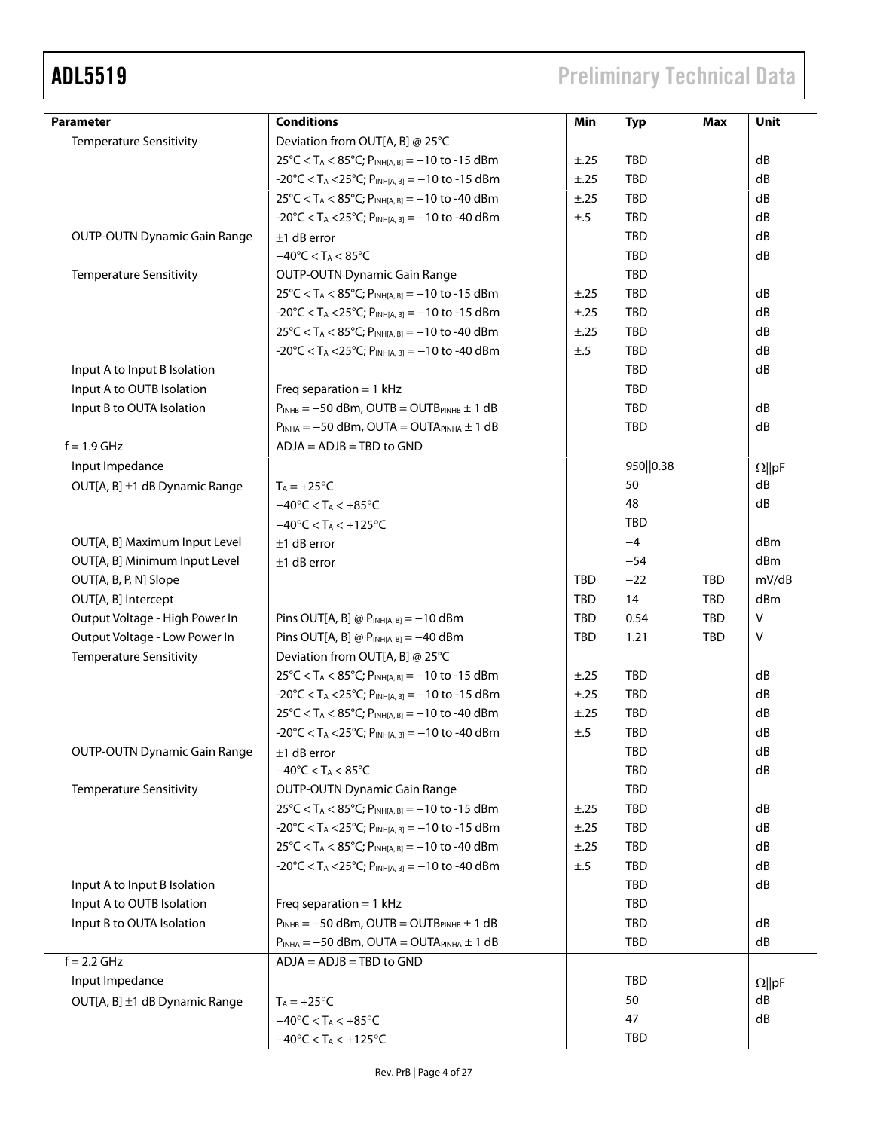# ADL5519 Preliminary Technical Data

| Parameter                           | <b>Conditions</b>                                                                           | Min        | <b>Typ</b> | <b>Max</b> | Unit          |
|-------------------------------------|---------------------------------------------------------------------------------------------|------------|------------|------------|---------------|
| <b>Temperature Sensitivity</b>      | Deviation from OUT[A, B] @ 25°C                                                             |            |            |            |               |
|                                     | $25^{\circ}$ C < T <sub>A</sub> < 85 $^{\circ}$ C; P <sub>INH[A, B]</sub> = -10 to -15 dBm  | ±.25       | <b>TBD</b> |            | dB            |
|                                     | $-20^{\circ}$ C < T <sub>A</sub> < 25 $^{\circ}$ C; P <sub>INH[A, B]</sub> = -10 to -15 dBm | ±.25       | TBD        |            | dB            |
|                                     | 25 °C < T <sub>A</sub> < 85 °C; P <sub>INH[A, B]</sub> = −10 to -40 dBm                     | ±.25       | <b>TBD</b> |            | dB            |
|                                     | $-20^{\circ}$ C < T <sub>A</sub> < 25 $^{\circ}$ C; P <sub>INH[A, B]</sub> = -10 to -40 dBm | ±.5        | <b>TBD</b> |            | dB            |
| <b>OUTP-OUTN Dynamic Gain Range</b> | $±1$ dB error                                                                               |            | <b>TBD</b> |            | dB            |
|                                     | $-40^{\circ}$ C < T <sub>A</sub> < 85 $^{\circ}$ C                                          |            | TBD        |            | dB            |
| <b>Temperature Sensitivity</b>      | <b>OUTP-OUTN Dynamic Gain Range</b>                                                         |            | <b>TBD</b> |            |               |
|                                     | $25^{\circ}$ C < T <sub>A</sub> < 85 $^{\circ}$ C; P <sub>INH[A, B]</sub> = -10 to -15 dBm  | ±.25       | TBD        |            | dB            |
|                                     | $-20^{\circ}$ C < T <sub>A</sub> < 25 $^{\circ}$ C; P <sub>INH[A, B]</sub> = -10 to -15 dBm | ±.25       | TBD        |            | dB            |
|                                     | 25°C < T <sub>A</sub> < 85°C; P <sub>INH[A, B]</sub> = -10 to -40 dBm                       | ±.25       | <b>TBD</b> |            | dB            |
|                                     | $-20^{\circ}$ C < T <sub>A</sub> < 25 $^{\circ}$ C; P <sub>INH[A, B]</sub> = -10 to -40 dBm | ±.5        | TBD        |            | dB            |
| Input A to Input B Isolation        |                                                                                             |            | <b>TBD</b> |            | dB            |
| Input A to OUTB Isolation           | Freq separation = $1$ kHz                                                                   |            | <b>TBD</b> |            |               |
| Input B to OUTA Isolation           | $P_{INHB} = -50$ dBm, OUTB = OUTB <sub>PINHB</sub> $\pm$ 1 dB                               |            | TBD        |            | dB            |
|                                     | $P_{INHA} = -50$ dBm, OUTA = OUTA $P_{INHA} \pm 1$ dB                                       |            | <b>TBD</b> |            | dB            |
| $f = 1.9$ GHz                       | $ADJA = ADJB = TBD$ to $GND$                                                                |            |            |            |               |
| Input Impedance                     |                                                                                             |            | 950  0.38  |            | $\Omega$   pF |
| OUT[A, B] ±1 dB Dynamic Range       | $T_A = +25$ °C                                                                              |            | 50         |            | dB            |
|                                     | $-40^{\circ}$ C < T <sub>A</sub> < $+85^{\circ}$ C                                          |            | 48         |            | dB            |
|                                     | $-40^{\circ}$ C < T <sub>A</sub> < $+125^{\circ}$ C                                         |            | <b>TBD</b> |            |               |
| OUT[A, B] Maximum Input Level       | $±1$ dB error                                                                               |            | $-4$       |            | dBm           |
| OUT[A, B] Minimum Input Level       | $±1$ dB error                                                                               |            | $-54$      |            | dBm           |
| OUT[A, B, P, N] Slope               |                                                                                             | <b>TBD</b> | $-22$      | <b>TBD</b> | mV/dB         |
| OUT[A, B] Intercept                 |                                                                                             | <b>TBD</b> | 14         | <b>TBD</b> | dBm           |
| Output Voltage - High Power In      | Pins OUT[A, B] @ $P_{INH[A, B]} = -10$ dBm                                                  | TBD        | 0.54       | <b>TBD</b> | v             |
| Output Voltage - Low Power In       | Pins OUT[A, B] @ $P_{INH[A, B]} = -40$ dBm                                                  | <b>TBD</b> | 1.21       | <b>TBD</b> | v             |
| <b>Temperature Sensitivity</b>      | Deviation from OUT[A, B] @ 25°C                                                             |            |            |            |               |
|                                     | $25^{\circ}$ C < T <sub>A</sub> < 85 $^{\circ}$ C; P <sub>INH[A, B]</sub> = -10 to -15 dBm  | ±.25       | TBD        |            | dB            |
|                                     | $-20^{\circ}$ C < T <sub>A</sub> < 25 $^{\circ}$ C; P <sub>INH[A, B]</sub> = -10 to -15 dBm | ±.25       | <b>TBD</b> |            | dB            |
|                                     | $25^{\circ}$ C < T <sub>A</sub> < 85 $^{\circ}$ C; P <sub>INH[A, B]</sub> = -10 to -40 dBm  | ±.25       | TBD        |            | dB            |
|                                     | $-20^{\circ}$ C < T <sub>A</sub> < 25 $^{\circ}$ C; P <sub>INH[A, B]</sub> = -10 to -40 dBm | ±.5        | <b>TBD</b> |            | dB            |
| <b>OUTP-OUTN Dynamic Gain Range</b> | $±1$ dB error                                                                               |            | TBD        |            | dB            |
|                                     | $-40^{\circ}$ C < T <sub>A</sub> < 85 $^{\circ}$ C                                          |            | TBD        |            | dB            |
| <b>Temperature Sensitivity</b>      | <b>OUTP-OUTN Dynamic Gain Range</b>                                                         |            | <b>TBD</b> |            |               |
|                                     | $25^{\circ}$ C < T <sub>A</sub> < 85 $^{\circ}$ C; P <sub>INH[A, B]</sub> = -10 to -15 dBm  | ±.25       | TBD        |            | dB            |
|                                     | $-20^{\circ}$ C < T <sub>A</sub> < 25 $^{\circ}$ C; P <sub>INH[A, B]</sub> = -10 to -15 dBm | ±.25       | <b>TBD</b> |            | dB            |
|                                     | $25^{\circ}$ C < T <sub>A</sub> < 85 $^{\circ}$ C; P <sub>INH[A, B]</sub> = -10 to -40 dBm  | ±.25       | <b>TBD</b> |            | dB            |
|                                     | $-20^{\circ}$ C < T <sub>A</sub> < 25 $^{\circ}$ C; P <sub>INH[A, B]</sub> = -10 to -40 dBm | ±.5        | <b>TBD</b> |            | dB            |
| Input A to Input B Isolation        |                                                                                             |            | <b>TBD</b> |            | dB            |
| Input A to OUTB Isolation           | Freq separation = $1$ kHz                                                                   |            | <b>TBD</b> |            |               |
| Input B to OUTA Isolation           | $P_{INHB} = -50$ dBm, OUTB = OUTB <sub>PINHB</sub> $\pm$ 1 dB                               |            | <b>TBD</b> |            | dB            |
|                                     | $P_{INHA} = -50$ dBm, OUTA = OUTAPINHA $\pm$ 1 dB                                           |            | <b>TBD</b> |            | dB            |
| $f = 2.2$ GHz                       | $ADJA = ADJB = TBD$ to $GND$                                                                |            |            |            |               |
| Input Impedance                     |                                                                                             |            | <b>TBD</b> |            | $\Omega$   pF |
| OUT[A, B] ±1 dB Dynamic Range       | $T_A = +25$ °C                                                                              |            | 50         |            | dB            |
|                                     | $-40^{\circ}$ C < T <sub>A</sub> < $+85^{\circ}$ C                                          |            | 47         |            | dB            |
|                                     | $-40^{\circ}$ C < T <sub>A</sub> < $+125^{\circ}$ C                                         |            | TBD        |            |               |
|                                     |                                                                                             |            |            |            |               |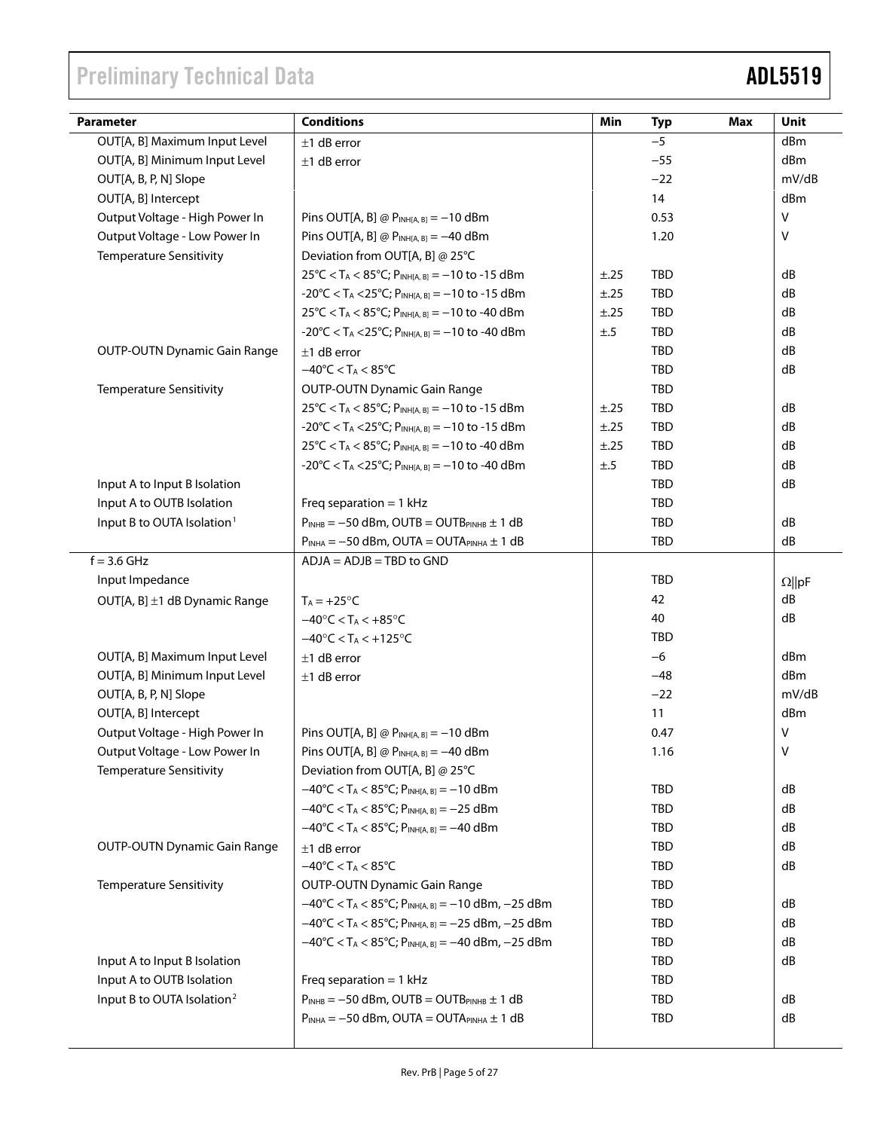| <b>Parameter</b>                       | <b>Conditions</b>                                                                             | Min      | <b>Typ</b> | Max | <b>Unit</b>   |
|----------------------------------------|-----------------------------------------------------------------------------------------------|----------|------------|-----|---------------|
| OUT[A, B] Maximum Input Level          | $±1$ dB error                                                                                 |          | $-5$       |     | dBm           |
| OUT[A, B] Minimum Input Level          | $±1$ dB error                                                                                 |          | $-55$      |     | dBm           |
| OUT[A, B, P, N] Slope                  |                                                                                               |          | $-22$      |     | mV/dB         |
| OUT[A, B] Intercept                    |                                                                                               |          | 14         |     | dBm           |
| Output Voltage - High Power In         | Pins OUT[A, B] @ $P_{INH[A, B]} = -10$ dBm                                                    |          | 0.53       |     | $\vee$        |
| Output Voltage - Low Power In          | Pins OUT[A, B] @ $P_{INH[A, B]} = -40$ dBm                                                    |          | 1.20       |     | V             |
| <b>Temperature Sensitivity</b>         | Deviation from OUT[A, B] @ 25°C                                                               |          |            |     |               |
|                                        | $25^{\circ}$ C < T <sub>A</sub> < 85 $^{\circ}$ C; P <sub>INH[A, B]</sub> = -10 to -15 dBm    | ±.25     | <b>TBD</b> |     | dB            |
|                                        | $-20^{\circ}$ C < T <sub>A</sub> < 25 $^{\circ}$ C; P <sub>INH[A, B]</sub> = -10 to -15 dBm   | ±.25     | TBD        |     | dB            |
|                                        | $25^{\circ}$ C < T <sub>A</sub> < 85 $^{\circ}$ C; P <sub>INH[A, B]</sub> = -10 to -40 dBm    | ±.25     | TBD        |     | dB            |
|                                        | $-20^{\circ}$ C < T <sub>A</sub> < 25 $^{\circ}$ C; P <sub>INH[A, B]</sub> = -10 to -40 dBm   | $\pm .5$ | TBD        |     | dB            |
| <b>OUTP-OUTN Dynamic Gain Range</b>    | $±1$ dB error                                                                                 |          | <b>TBD</b> |     | dB            |
|                                        | $-40^{\circ}$ C < T <sub>A</sub> < 85 $^{\circ}$ C                                            |          | TBD        |     | dB            |
| <b>Temperature Sensitivity</b>         | <b>OUTP-OUTN Dynamic Gain Range</b>                                                           |          | <b>TBD</b> |     |               |
|                                        | $25^{\circ}$ C < T <sub>A</sub> < 85 $^{\circ}$ C; P <sub>INH[A, B]</sub> = -10 to -15 dBm    | ±.25     | TBD        |     | dB            |
|                                        | $-20^{\circ}$ C < T <sub>A</sub> < 25 $^{\circ}$ C; P <sub>INH[A, B]</sub> = -10 to -15 dBm   | ±.25     | TBD        |     | dB            |
|                                        | $25^{\circ}$ C < T <sub>A</sub> < 85 $^{\circ}$ C; P <sub>INH[A, B]</sub> = -10 to -40 dBm    | ±.25     | TBD        |     | dB            |
|                                        | $-20^{\circ}$ C < T <sub>A</sub> < 25 $^{\circ}$ C; P <sub>INH[A, B]</sub> = -10 to -40 dBm   | $\pm .5$ | TBD        |     | dB            |
| Input A to Input B Isolation           |                                                                                               |          | <b>TBD</b> |     | dB            |
| Input A to OUTB Isolation              | Freq separation = $1$ kHz                                                                     |          | TBD        |     |               |
| Input B to OUTA Isolation <sup>1</sup> | $P_{INHB} = -50$ dBm, OUTB = OUTB <sub>PINHB</sub> $\pm$ 1 dB                                 |          | <b>TBD</b> |     | dB            |
|                                        | $P_{INHA} = -50$ dBm, OUTA = OUTAPINHA $\pm$ 1 dB                                             |          | <b>TBD</b> |     | dB            |
| $f = 3.6$ GHz                          | $ADJA = ADJB = TBD$ to $GND$                                                                  |          |            |     |               |
| Input Impedance                        |                                                                                               |          | <b>TBD</b> |     | $\Omega$   pF |
| OUT[A, B] ±1 dB Dynamic Range          | $T_A = +25$ °C                                                                                |          | 42         |     | dB            |
|                                        | $-40^{\circ}$ C < T <sub>A</sub> < $+85^{\circ}$ C                                            |          | 40         |     | dB            |
|                                        | $-40^{\circ}$ C < T <sub>A</sub> < $+125^{\circ}$ C                                           |          | <b>TBD</b> |     |               |
| OUT[A, B] Maximum Input Level          | $±1$ dB error                                                                                 |          | $-6$       |     | dBm           |
| OUT[A, B] Minimum Input Level          | $±1$ dB error                                                                                 |          | $-48$      |     | dBm           |
| OUT[A, B, P, N] Slope                  |                                                                                               |          | $-22$      |     | mV/dB         |
| OUT[A, B] Intercept                    |                                                                                               |          | 11         |     | dBm           |
| Output Voltage - High Power In         | Pins OUT[A, B] @ $P_{INH[A, B]} = -10$ dBm                                                    |          | 0.47       |     | v             |
| Output Voltage - Low Power In          | Pins OUT[A, B] @ $P_{INH[A, B]} = -40$ dBm                                                    |          | 1.16       |     | $\vee$        |
| <b>Temperature Sensitivity</b>         | Deviation from OUT[A, B] @ 25°C                                                               |          |            |     |               |
|                                        | $-40^{\circ}$ C < T <sub>A</sub> < 85 $^{\circ}$ C; P <sub>INH[A, B]</sub> = -10 dBm          |          | TBD        |     | dB            |
|                                        | $-40^{\circ}$ C < T <sub>A</sub> < 85°C; P <sub>INH[A, B]</sub> = -25 dBm                     |          | TBD        |     | dB            |
|                                        | $-40^{\circ}$ C < T <sub>A</sub> < 85 $^{\circ}$ C; P <sub>INH[A, B]</sub> = -40 dBm          |          | TBD        |     | dB            |
| <b>OUTP-OUTN Dynamic Gain Range</b>    | $±1$ dB error                                                                                 |          | TBD        |     | dB            |
|                                        | $-40^{\circ}$ C < T <sub>A</sub> < 85 $^{\circ}$ C                                            |          | <b>TBD</b> |     | dB            |
| <b>Temperature Sensitivity</b>         | <b>OUTP-OUTN Dynamic Gain Range</b>                                                           |          | <b>TBD</b> |     |               |
|                                        | $-40^{\circ}$ C < T <sub>A</sub> < 85°C; P <sub>INH[A, B]</sub> = -10 dBm, -25 dBm            |          | <b>TBD</b> |     | dB            |
|                                        | $-40^{\circ}$ C < T <sub>A</sub> < 85°C; P <sub>INH[A, B]</sub> = -25 dBm, -25 dBm            |          | <b>TBD</b> |     | dB            |
|                                        | $-40^{\circ}$ C < T <sub>A</sub> < 85 $^{\circ}$ C; P <sub>INH[A, B]</sub> = -40 dBm, -25 dBm |          | <b>TBD</b> |     | dB            |
| Input A to Input B Isolation           |                                                                                               |          | <b>TBD</b> |     | dB            |
| Input A to OUTB Isolation              | Freq separation = $1$ kHz                                                                     |          | <b>TBD</b> |     |               |
| Input B to OUTA Isolation <sup>2</sup> | $P_{INHB} = -50$ dBm, OUTB = OUTBPINHB $\pm 1$ dB                                             |          | TBD        |     | dB            |
|                                        | $P_{INHA} = -50$ dBm, OUTA = OUTAPINHA $\pm$ 1 dB                                             |          | TBD        |     | dB            |
|                                        |                                                                                               |          |            |     |               |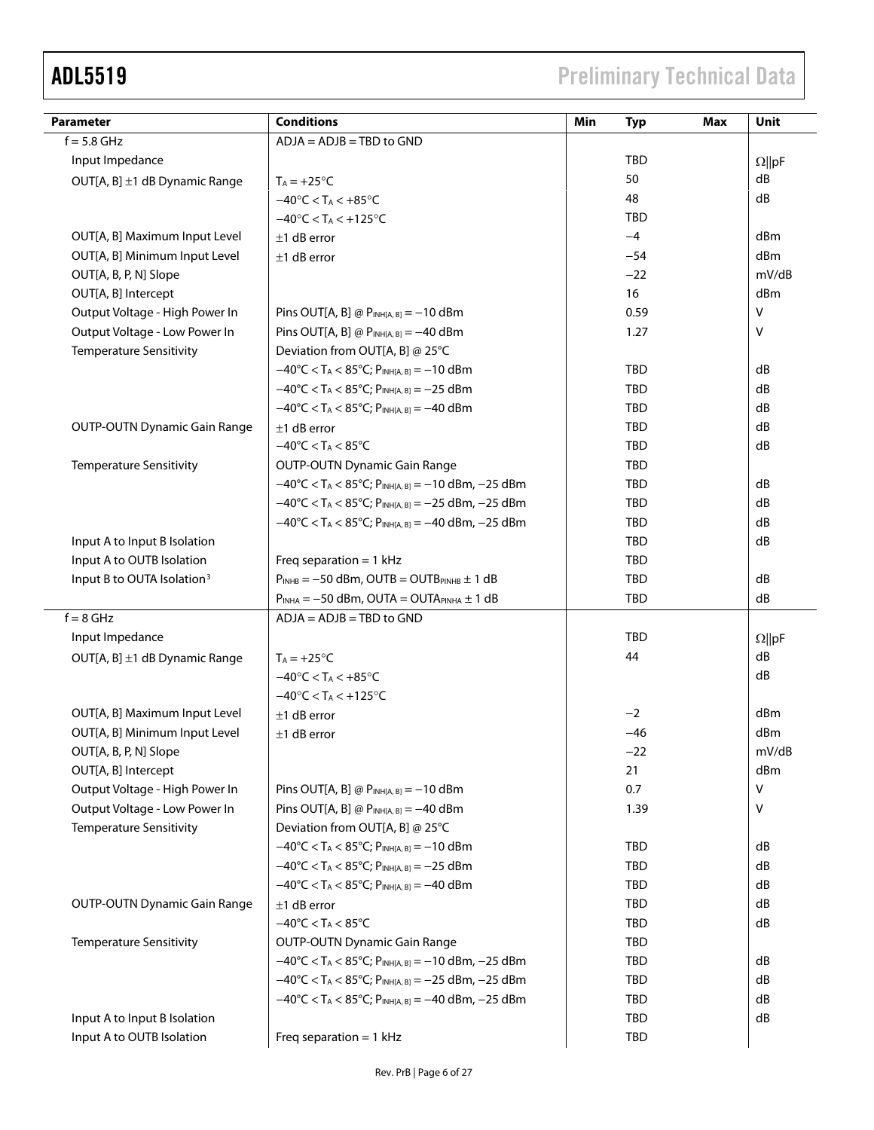# ADL5519 Preliminary Technical Data

| <b>Parameter</b>                                   | <b>Conditions</b>                                                                             | Min<br><b>Typ</b> | <b>Max</b> | Unit            |
|----------------------------------------------------|-----------------------------------------------------------------------------------------------|-------------------|------------|-----------------|
| $f = 5.8$ GHz                                      | $ADJA = ADJB = TBD$ to $GND$                                                                  |                   |            |                 |
| Input Impedance                                    |                                                                                               | <b>TBD</b>        |            | $\Omega$   pF   |
| OUT[A, B] ±1 dB Dynamic Range                      | $T_A = +25$ °C                                                                                | 50                |            | dB              |
|                                                    | $-40^{\circ}$ C < T <sub>A</sub> < $+85^{\circ}$ C                                            | 48                |            | dB              |
|                                                    | $-40^{\circ}$ C < T <sub>A</sub> < $+125^{\circ}$ C                                           | <b>TBD</b>        |            |                 |
| OUT[A, B] Maximum Input Level                      | $±1$ dB error                                                                                 | $-4$              |            | dBm             |
| OUT[A, B] Minimum Input Level                      | $±1$ dB error                                                                                 | $-54$             |            | d <sub>Bm</sub> |
| OUT[A, B, P, N] Slope                              |                                                                                               | $-22$             |            | mV/dB           |
| OUT[A, B] Intercept                                |                                                                                               | 16                |            | dBm             |
| Output Voltage - High Power In                     | Pins OUT[A, B] @ $P_{INH[A, B]} = -10$ dBm                                                    | 0.59              |            | ٧               |
| Output Voltage - Low Power In                      | Pins OUT[A, B] @ $P_{INH[A, B]} = -40$ dBm                                                    | 1.27              |            | ٧               |
| <b>Temperature Sensitivity</b>                     | Deviation from OUT[A, B] @ 25°C                                                               |                   |            |                 |
|                                                    | $-40^{\circ}$ C < T <sub>A</sub> < 85°C; P <sub>INH[A, B]</sub> = -10 dBm                     | TBD               |            | dB              |
|                                                    | $-40^{\circ}$ C < T <sub>A</sub> < 85 $^{\circ}$ C; P <sub>INH[A, B]</sub> = -25 dBm          | TBD               |            | dB              |
|                                                    | $-40^{\circ}$ C < T <sub>A</sub> < 85°C; P <sub>INH[A, B]</sub> = -40 dBm                     | TBD               |            | dB              |
| <b>OUTP-OUTN Dynamic Gain Range</b>                | $±1$ dB error                                                                                 | <b>TBD</b>        |            | dB              |
|                                                    | $-40^{\circ}$ C < T <sub>A</sub> < 85 $^{\circ}$ C                                            | TBD               |            | dB              |
| <b>Temperature Sensitivity</b>                     | <b>OUTP-OUTN Dynamic Gain Range</b>                                                           | TBD               |            |                 |
|                                                    | $-40^{\circ}$ C < T <sub>A</sub> < 85 $^{\circ}$ C; P <sub>INH[A, B]</sub> = -10 dBm, -25 dBm | <b>TBD</b>        |            | dB              |
|                                                    | $-40^{\circ}$ C < T <sub>A</sub> < 85°C; P <sub>INH[A, B]</sub> = -25 dBm, -25 dBm            | <b>TBD</b>        |            | dB              |
|                                                    | $-40^{\circ}$ C < T <sub>A</sub> < 85°C; P <sub>INH[A, B]</sub> = -40 dBm, -25 dBm            | <b>TBD</b>        |            | dB              |
| Input A to Input B Isolation                       |                                                                                               | TBD               |            | dB              |
| Input A to OUTB Isolation                          | Freq separation = $1$ kHz                                                                     | TBD               |            |                 |
| Input B to OUTA Isolation <sup>3</sup>             | $P_{INHB} = -50$ dBm, OUTB = OUTBPINHB $\pm 1$ dB                                             | <b>TBD</b>        |            | dB              |
|                                                    | $P_{INHA} = -50$ dBm, OUTA = OUTAPINHA $\pm 1$ dB                                             | <b>TBD</b>        |            | dB              |
| $f = 8$ GHz                                        | $ADJA = ADJB = TBD$ to $GND$                                                                  |                   |            |                 |
| Input Impedance                                    |                                                                                               | TBD               |            | $\Omega$   pF   |
| OUT[A, B] ±1 dB Dynamic Range                      | $T_A = +25$ °C                                                                                | 44                |            | dB              |
| $-40^{\circ}$ C < T <sub>A</sub> < $+85^{\circ}$ C |                                                                                               |                   |            | dB              |
|                                                    | $-40^{\circ}$ C < T <sub>A</sub> < $+125^{\circ}$ C                                           |                   |            |                 |
| OUT[A, B] Maximum Input Level                      | $±1$ dB error                                                                                 | $-2$              |            | dBm             |
| OUT[A, B] Minimum Input Level                      | $±1$ dB error                                                                                 | $-46$             |            | dBm             |
| OUT[A, B, P, N] Slope                              |                                                                                               | $-22$             |            | mV/dB           |
| OUT[A, B] Intercept                                |                                                                                               | 21                |            | dBm             |
| Output Voltage - High Power In                     | Pins OUT[A, B] @ $P_{INH[A, B]} = -10$ dBm                                                    | 0.7               |            | v               |
| Output Voltage - Low Power In                      | Pins OUT[A, B] @ $P_{INH[A, B]} = -40$ dBm                                                    | 1.39              |            | v               |
| <b>Temperature Sensitivity</b>                     | Deviation from OUT[A, B] @ 25°C                                                               |                   |            |                 |
|                                                    | $-40^{\circ}$ C < T <sub>A</sub> < 85 $^{\circ}$ C; P <sub>INH[A, B]</sub> = -10 dBm          | TBD               |            | dB              |
|                                                    | $-40^{\circ}$ C < T <sub>A</sub> < 85°C; P <sub>INH[A, B]</sub> = -25 dBm                     | TBD               |            | dB              |
|                                                    | $-40^{\circ}$ C < T <sub>A</sub> < 85 $^{\circ}$ C; P <sub>INH[A, B]</sub> = -40 dBm          | TBD               |            | dB              |
| <b>OUTP-OUTN Dynamic Gain Range</b>                | $±1$ dB error                                                                                 | TBD               |            | dB              |
|                                                    | $-40^{\circ}$ C < T <sub>A</sub> < 85 $^{\circ}$ C                                            | <b>TBD</b>        |            | dB              |
| <b>Temperature Sensitivity</b>                     | <b>OUTP-OUTN Dynamic Gain Range</b>                                                           | <b>TBD</b>        |            |                 |
|                                                    | $-40^{\circ}$ C < T <sub>A</sub> < 85°C; P <sub>INH[A, B]</sub> = -10 dBm, -25 dBm            | <b>TBD</b>        |            | dB              |
|                                                    | $-40^{\circ}$ C < T <sub>A</sub> < 85°C; P <sub>INH[A, B]</sub> = -25 dBm, -25 dBm            | TBD               |            | dB              |
|                                                    | $-40^{\circ}$ C < T <sub>A</sub> < 85 $^{\circ}$ C; P <sub>INH[A, B]</sub> = -40 dBm, -25 dBm | <b>TBD</b>        |            | dB              |
| Input A to Input B Isolation                       | TBD                                                                                           |                   |            | dB              |
| Input A to OUTB Isolation                          | Freq separation = $1$ kHz                                                                     | <b>TBD</b>        |            |                 |
|                                                    |                                                                                               |                   |            |                 |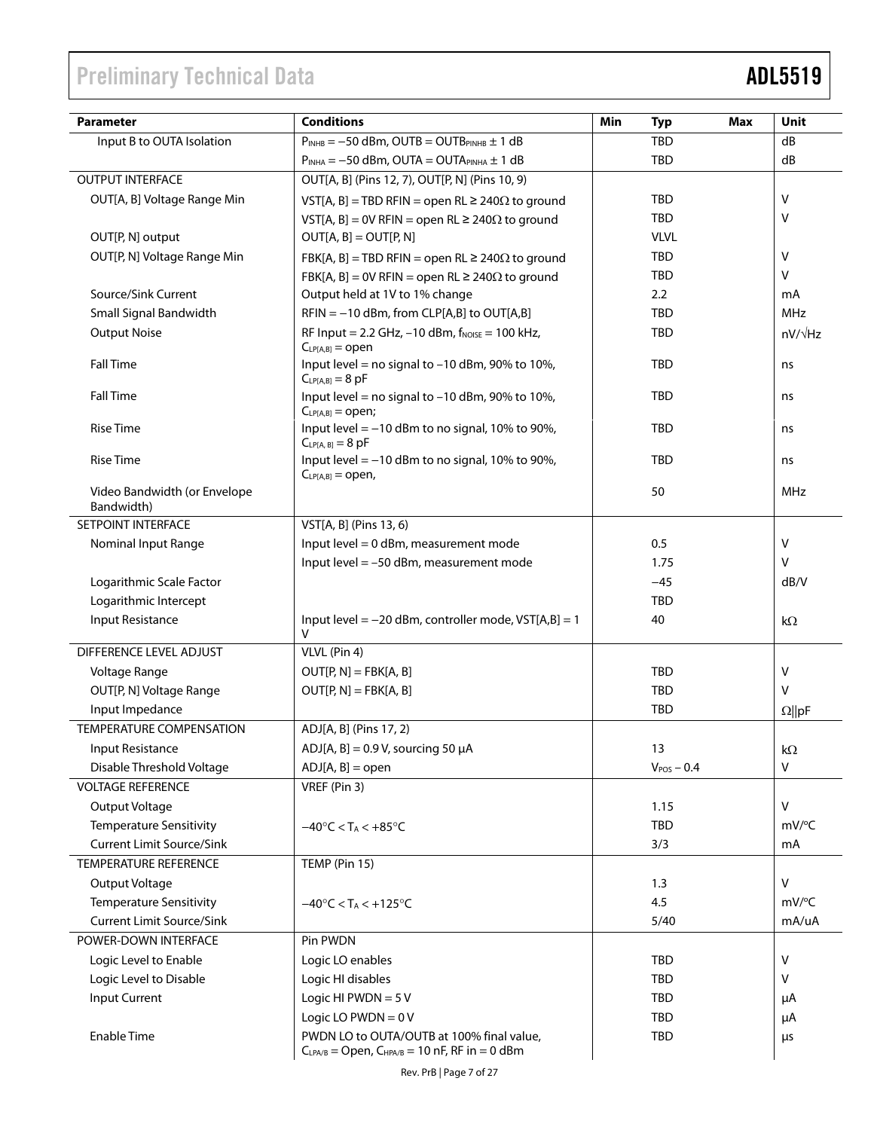| <b>Parameter</b>                           | <b>Conditions</b>                                                                                   | Min<br><b>Typ</b><br>Max | <b>Unit</b>    |
|--------------------------------------------|-----------------------------------------------------------------------------------------------------|--------------------------|----------------|
| Input B to OUTA Isolation                  | $P_{INHB} = -50$ dBm, OUTB = OUTB <sub>PINHB</sub> $\pm$ 1 dB                                       | TBD                      | dB             |
|                                            | $P_{INHA} = -50$ dBm, OUTA = OUTAPINHA $\pm$ 1 dB                                                   | <b>TBD</b>               | dB             |
| <b>OUTPUT INTERFACE</b>                    | OUT[A, B] (Pins 12, 7), OUT[P, N] (Pins 10, 9)                                                      |                          |                |
| OUT[A, B] Voltage Range Min                | VST[A, B] = TBD RFIN = open RL $\geq$ 240 $\Omega$ to ground                                        | <b>TBD</b>               | V              |
|                                            | VST[A, B] = 0V RFIN = open RL $\geq$ 240 $\Omega$ to ground                                         | <b>TBD</b>               | v              |
| OUT[P, N] output                           | $OUT[A, B] = OUT[P, N]$                                                                             | <b>VLVL</b>              |                |
| OUT[P, N] Voltage Range Min                | FBK[A, B] = TBD RFIN = open RL $\geq$ 240 $\Omega$ to ground                                        | <b>TBD</b>               | V              |
|                                            | FBK[A, B] = 0V RFIN = open RL $\geq$ 240 $\Omega$ to ground                                         | <b>TBD</b>               | v              |
| Source/Sink Current                        | Output held at 1V to 1% change                                                                      | 2.2                      | mA             |
| Small Signal Bandwidth                     | $RFIN = -10$ dBm, from CLP[A,B] to OUT[A,B]                                                         | <b>TBD</b>               | <b>MHz</b>     |
| <b>Output Noise</b>                        | RF Input = $2.2$ GHz, $-10$ dBm, $f_{\text{NOISE}} = 100$ kHz,<br>$C_{LP[A,B]} = open$              | <b>TBD</b>               | $nV/\sqrt{Hz}$ |
| <b>Fall Time</b>                           | Input level = no signal to $-10$ dBm, 90% to 10%,<br>$C_{LP[A,B]} = 8$ pF                           | <b>TBD</b>               | ns             |
| <b>Fall Time</b>                           | Input level = no signal to $-10$ dBm, 90% to 10%,<br>$C_{LP[A,B]} = open;$                          | <b>TBD</b>               | ns             |
| <b>Rise Time</b>                           | Input level $= -10$ dBm to no signal, 10% to 90%,<br>$C_{LPIA, BJ} = 8 pF$                          | <b>TBD</b>               | ns             |
| <b>Rise Time</b>                           | Input level $= -10$ dBm to no signal, 10% to 90%,<br>$C_{LP[A,B]} =$ open,                          | <b>TBD</b>               | ns             |
| Video Bandwidth (or Envelope<br>Bandwidth) |                                                                                                     | 50                       | <b>MHz</b>     |
| SETPOINT INTERFACE                         | VST[A, B] (Pins 13, 6)                                                                              |                          |                |
| Nominal Input Range                        | Input level = 0 dBm, measurement mode                                                               | 0.5                      | V              |
|                                            | Input level $= -50$ dBm, measurement mode                                                           | 1.75                     | v              |
| Logarithmic Scale Factor                   |                                                                                                     | $-45$                    | dB/V           |
| Logarithmic Intercept                      |                                                                                                     | <b>TBD</b>               |                |
| Input Resistance                           | Input level = $-20$ dBm, controller mode, $VST[A,B] = 1$<br>V                                       | 40                       | kΩ             |
| DIFFERENCE LEVEL ADJUST                    | VLVL (Pin 4)                                                                                        |                          |                |
| Voltage Range                              | $OUT[P, N] = FBK[A, B]$                                                                             | TBD                      | V              |
| OUT[P, N] Voltage Range                    | $OUT[P, N] = FBK[A, B]$                                                                             | TBD                      | v              |
| Input Impedance                            |                                                                                                     | <b>TBD</b>               | $\Omega$   pF  |
| TEMPERATURE COMPENSATION                   | ADJ[A, B] (Pins 17, 2)                                                                              |                          |                |
| <b>Input Resistance</b>                    | ADJ[A, B] = $0.9$ V, sourcing 50 $\mu$ A                                                            | 13                       | kΩ             |
| Disable Threshold Voltage                  | $ADJ[A, B] = open$                                                                                  | $V_{POS}$ - 0.4          | v              |
| <b>VOLTAGE REFERENCE</b>                   | VREF (Pin 3)                                                                                        |                          |                |
| Output Voltage                             |                                                                                                     | 1.15                     | V              |
| <b>Temperature Sensitivity</b>             | $-40^{\circ}$ C < T <sub>A</sub> < $+85^{\circ}$ C                                                  | TBD                      | mV/°C          |
| <b>Current Limit Source/Sink</b>           |                                                                                                     | 3/3                      | mA             |
| <b>TEMPERATURE REFERENCE</b>               | TEMP (Pin 15)                                                                                       |                          |                |
| Output Voltage                             |                                                                                                     | 1.3                      | V              |
| <b>Temperature Sensitivity</b>             | $-40^{\circ}$ C < T <sub>A</sub> < +125°C                                                           | 4.5                      | mV/°C          |
| <b>Current Limit Source/Sink</b>           |                                                                                                     | 5/40                     | mA/uA          |
| POWER-DOWN INTERFACE                       | Pin PWDN                                                                                            |                          |                |
| Logic Level to Enable                      | Logic LO enables                                                                                    | <b>TBD</b>               | v              |
| Logic Level to Disable                     | Logic HI disables                                                                                   | <b>TBD</b>               | V              |
| <b>Input Current</b>                       | Logic HI PWDN = $5V$                                                                                | <b>TBD</b>               | μA             |
|                                            | Logic LO $PWDN = 0 V$                                                                               | <b>TBD</b>               | μA             |
| <b>Enable Time</b>                         | PWDN LO to OUTA/OUTB at 100% final value,<br>$C_{LPA/B}$ = Open, $C_{HPA/B}$ = 10 nF, RF in = 0 dBm | <b>TBD</b>               | μs             |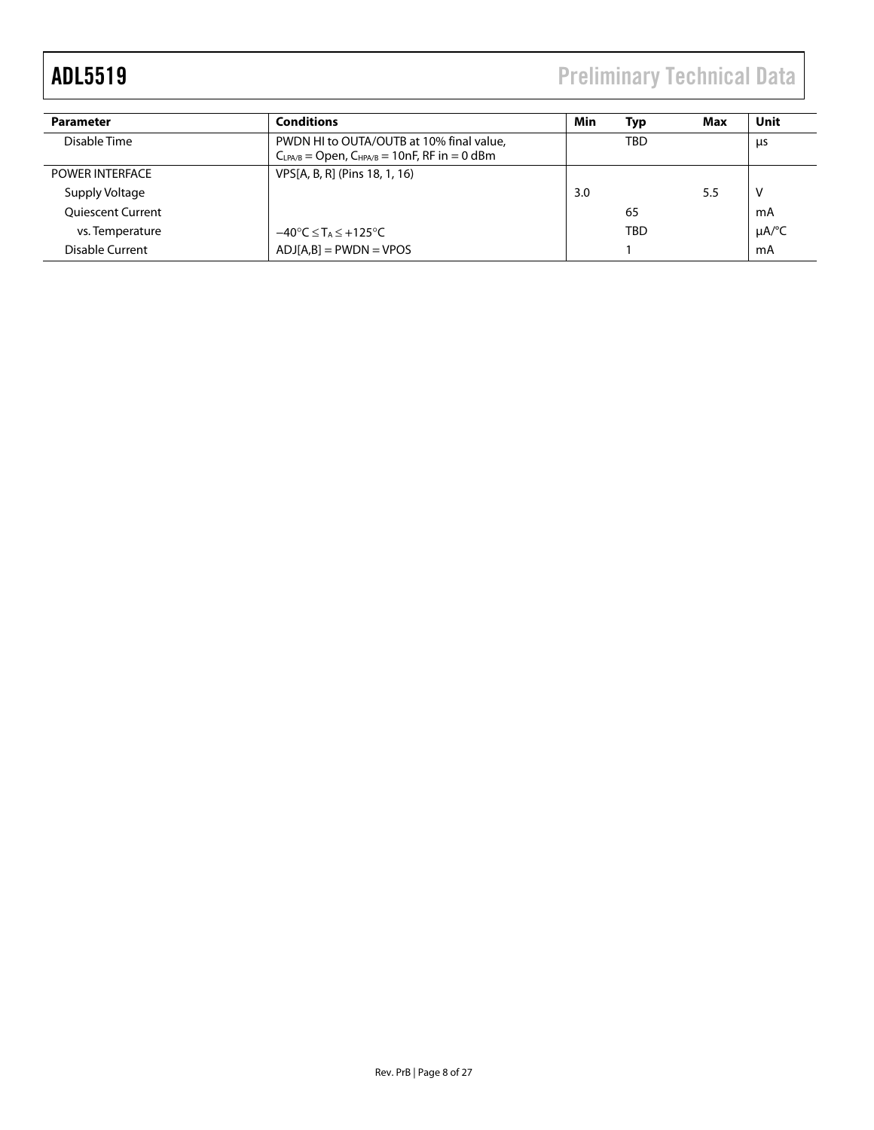ADL5519 Preliminary Technical Data

| <b>Parameter</b>         | <b>Conditions</b>                                   | Min | Typ | Max | Unit       |
|--------------------------|-----------------------------------------------------|-----|-----|-----|------------|
| Disable Time             | PWDN HI to OUTA/OUTB at 10% final value,            |     | TBD |     | μs         |
|                          | $CLPA/B = Open, CHPA/B = 10nF, RF in = 0 dBm$       |     |     |     |            |
| <b>POWER INTERFACE</b>   | VPS[A, B, R] (Pins 18, 1, 16)                       |     |     |     |            |
| Supply Voltage           |                                                     | 3.0 |     | 5.5 |            |
| <b>Oujescent Current</b> |                                                     |     | 65  |     | mA         |
| vs. Temperature          | $-40^{\circ}$ C $\leq$ T <sub>A</sub> $\leq$ +125°C |     | TBD |     | $\mu$ A/°C |
| Disable Current          | $ADJ[A,B] = PWDN = VPOS$                            |     |     |     | mA         |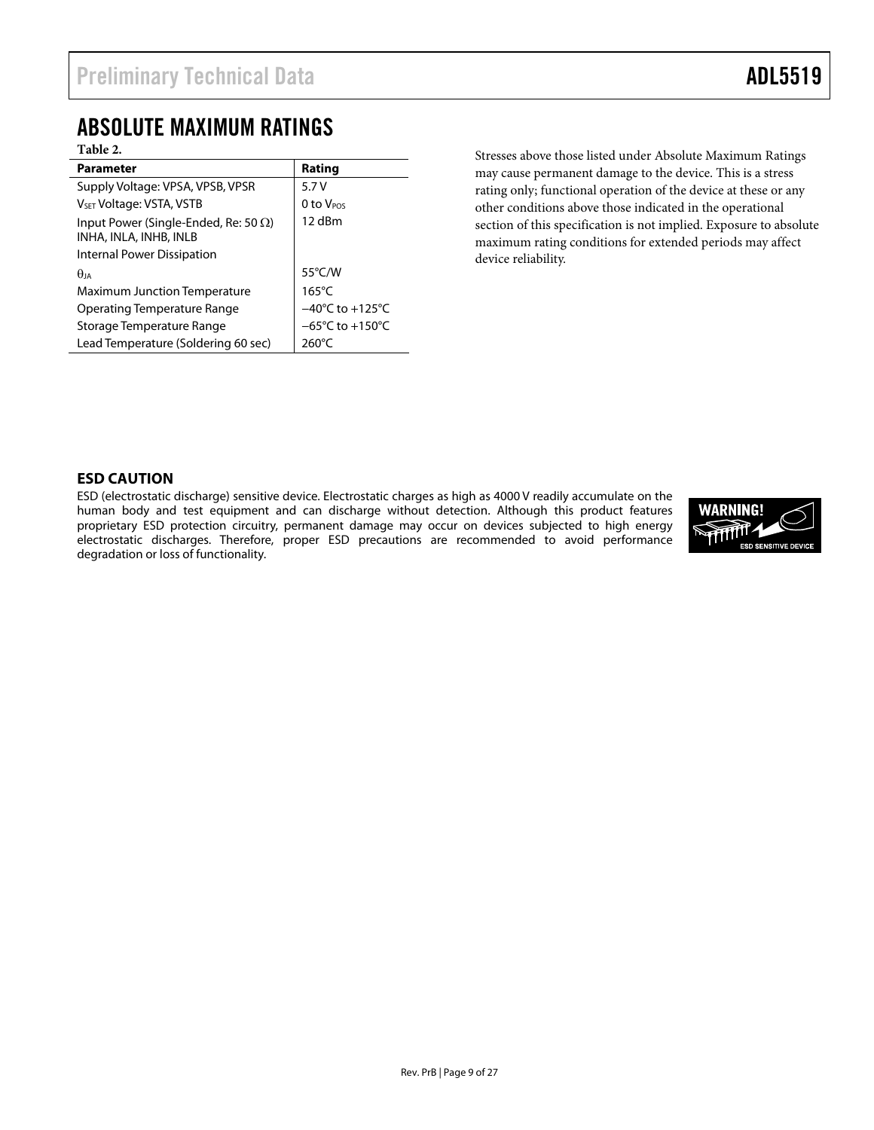### <span id="page-8-0"></span>ABSOLUTE MAXIMUM RATINGS

#### **Table 2.**

| <b>Parameter</b>                                                       | Rating                              |
|------------------------------------------------------------------------|-------------------------------------|
| Supply Voltage: VPSA, VPSB, VPSR                                       | 5.7V                                |
| V <sub>SET</sub> Voltage: VSTA, VSTB                                   | 0 to V <sub>POS</sub>               |
| Input Power (Single-Ended, Re: 50 $\Omega$ )<br>INHA, INLA, INHB, INLB | 12 dBm                              |
| Internal Power Dissipation                                             |                                     |
| $\theta$ ia                                                            | $55^{\circ}$ C/W                    |
| <b>Maximum Junction Temperature</b>                                    | $165^{\circ}$ C                     |
| Operating Temperature Range                                            | $-40^{\circ}$ C to $+125^{\circ}$ C |
| Storage Temperature Range                                              | $-65^{\circ}$ C to $+150^{\circ}$ C |
| Lead Temperature (Soldering 60 sec)                                    | 260°C                               |

Stresses above those listed under Absolute Maximum Ratings may cause permanent damage to the device. This is a stress rating only; functional operation of the device at these or any other conditions above those indicated in the operational section of this specification is not implied. Exposure to absolute maximum rating conditions for extended periods may affect device reliability.

#### **ESD CAUTION**

ESD (electrostatic discharge) sensitive device. Electrostatic charges as high as 4000 V readily accumulate on the human body and test equipment and can discharge without detection. Although this product features proprietary ESD protection circuitry, permanent damage may occur on devices subjected to high energy electrostatic discharges. Therefore, proper ESD precautions are recommended to avoid performance degradation or loss of functionality.

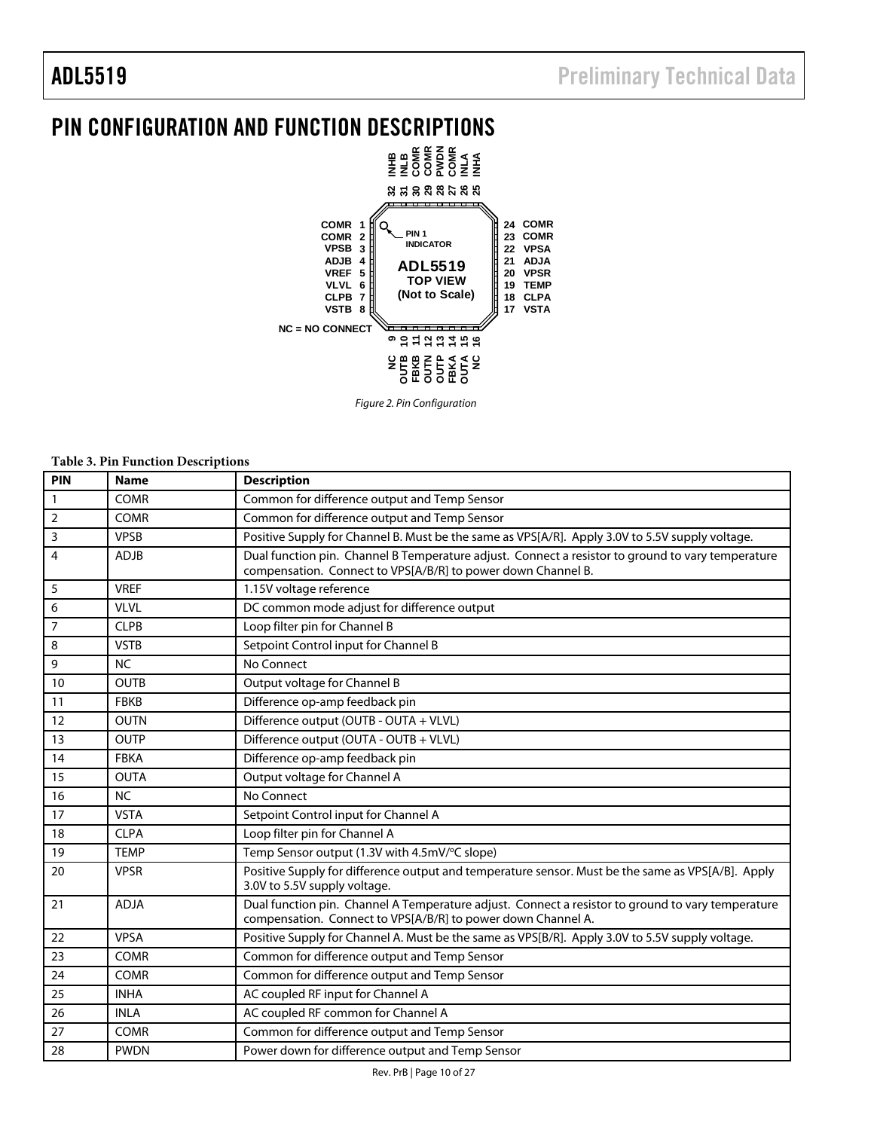## <span id="page-9-0"></span>PIN CONFIGURATION AND FUNCTION DESCRIPTIONS



Figure 2. Pin Configuration

#### **Table 3. Pin Function Descriptions**

| PIN            | <b>Name</b> | <b>Description</b>                                                                                                                                                |
|----------------|-------------|-------------------------------------------------------------------------------------------------------------------------------------------------------------------|
| $\mathbf{1}$   | <b>COMR</b> | Common for difference output and Temp Sensor                                                                                                                      |
| $\mathbf 2$    | <b>COMR</b> | Common for difference output and Temp Sensor                                                                                                                      |
| 3              | <b>VPSB</b> | Positive Supply for Channel B. Must be the same as VPS[A/R]. Apply 3.0V to 5.5V supply voltage.                                                                   |
| $\overline{4}$ | <b>ADJB</b> | Dual function pin. Channel B Temperature adjust. Connect a resistor to ground to vary temperature<br>compensation. Connect to VPS[A/B/R] to power down Channel B. |
| 5              | <b>VREF</b> | 1.15V voltage reference                                                                                                                                           |
| 6              | <b>VLVL</b> | DC common mode adjust for difference output                                                                                                                       |
| $\overline{7}$ | <b>CLPB</b> | Loop filter pin for Channel B                                                                                                                                     |
| 8              | <b>VSTB</b> | Setpoint Control input for Channel B                                                                                                                              |
| 9              | <b>NC</b>   | No Connect                                                                                                                                                        |
| 10             | <b>OUTB</b> | Output voltage for Channel B                                                                                                                                      |
| 11             | <b>FBKB</b> | Difference op-amp feedback pin                                                                                                                                    |
| 12             | <b>OUTN</b> | Difference output (OUTB - OUTA + VLVL)                                                                                                                            |
| 13             | <b>OUTP</b> | Difference output (OUTA - OUTB + VLVL)                                                                                                                            |
| 14             | <b>FBKA</b> | Difference op-amp feedback pin                                                                                                                                    |
| 15             | <b>OUTA</b> | Output voltage for Channel A                                                                                                                                      |
| 16             | <b>NC</b>   | No Connect                                                                                                                                                        |
| 17             | <b>VSTA</b> | Setpoint Control input for Channel A                                                                                                                              |
| 18             | <b>CLPA</b> | Loop filter pin for Channel A                                                                                                                                     |
| 19             | <b>TEMP</b> | Temp Sensor output (1.3V with 4.5mV/°C slope)                                                                                                                     |
| 20             | <b>VPSR</b> | Positive Supply for difference output and temperature sensor. Must be the same as VPS[A/B]. Apply<br>3.0V to 5.5V supply voltage.                                 |
| 21             | <b>ADJA</b> | Dual function pin. Channel A Temperature adjust. Connect a resistor to ground to vary temperature<br>compensation. Connect to VPS[A/B/R] to power down Channel A. |
| 22             | <b>VPSA</b> | Positive Supply for Channel A. Must be the same as VPS[B/R]. Apply 3.0V to 5.5V supply voltage.                                                                   |
| 23             | <b>COMR</b> | Common for difference output and Temp Sensor                                                                                                                      |
| 24             | <b>COMR</b> | Common for difference output and Temp Sensor                                                                                                                      |
| 25             | <b>INHA</b> | AC coupled RF input for Channel A                                                                                                                                 |
| 26             | <b>INLA</b> | AC coupled RF common for Channel A                                                                                                                                |
| 27             | <b>COMR</b> | Common for difference output and Temp Sensor                                                                                                                      |
| 28             | <b>PWDN</b> | Power down for difference output and Temp Sensor                                                                                                                  |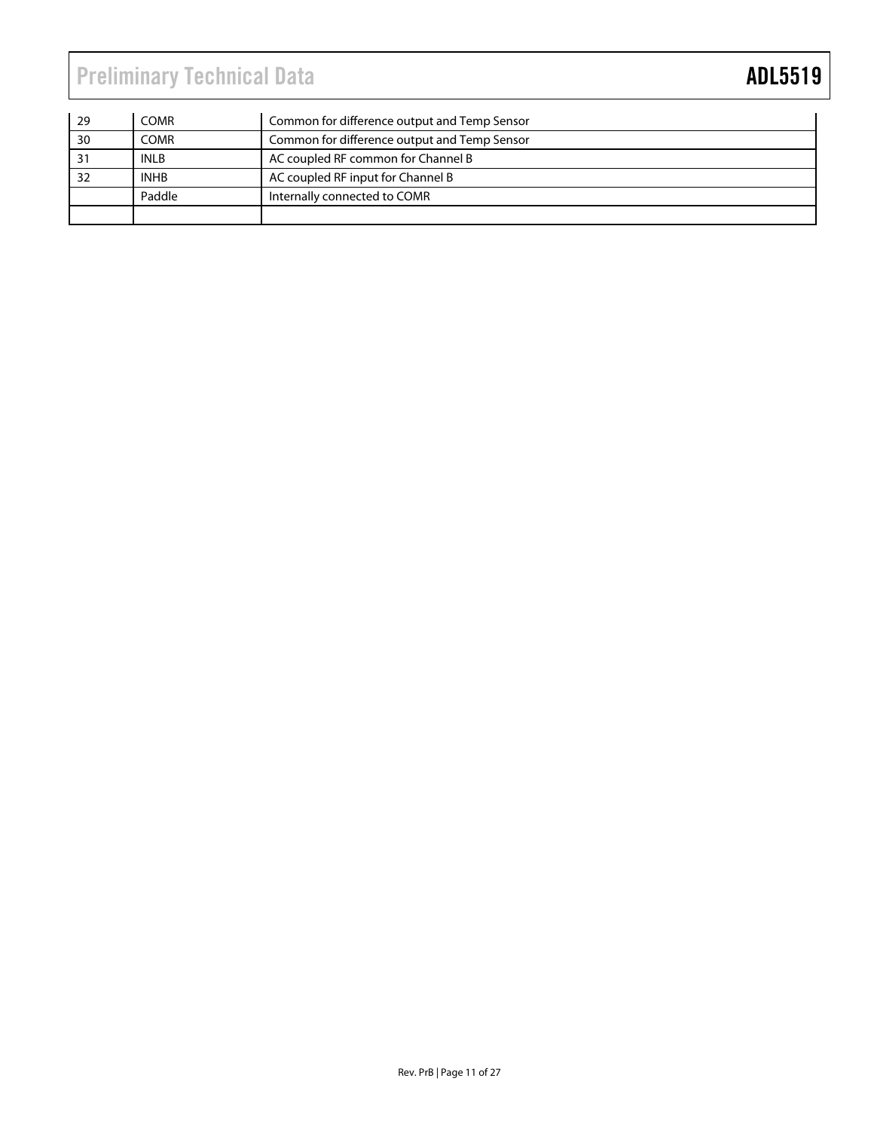| $\frac{1}{29}$  | <b>COMR</b> | Common for difference output and Temp Sensor |
|-----------------|-------------|----------------------------------------------|
| $\overline{30}$ | <b>COMR</b> | Common for difference output and Temp Sensor |
| 31              | <b>INLB</b> | AC coupled RF common for Channel B           |
| 32              | <b>INHB</b> | AC coupled RF input for Channel B            |
|                 | Paddle      | Internally connected to COMR                 |
|                 |             |                                              |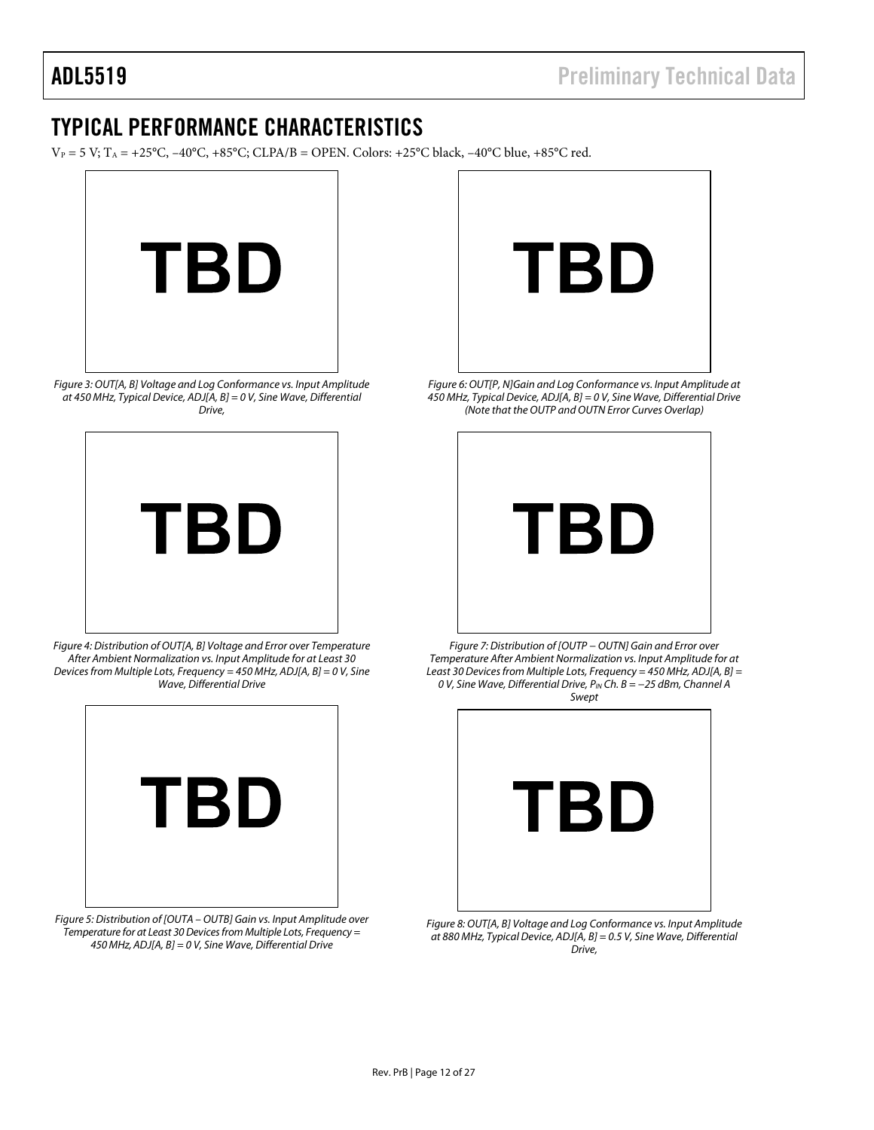### <span id="page-11-0"></span>TYPICAL PERFORMANCE CHARACTERISTICS

 $V_P = 5 V$ ;  $T_A = +25^{\circ}C$ ,  $-40^{\circ}C$ ,  $+85^{\circ}C$ ; CLPA/B = OPEN. Colors:  $+25^{\circ}C$  black,  $-40^{\circ}C$  blue,  $+85^{\circ}C$  red.



Figure 3: OUT[A, B] Voltage and Log Conformance vs. Input Amplitude at 450 MHz, Typical Device, ADJ[A, B] = 0 V, Sine Wave, Differential Drive,



Figure 4: Distribution of OUT[A, B] Voltage and Error over Temperature After Ambient Normalization vs. Input Amplitude for at Least 30 Devices from Multiple Lots, Frequency = 450 MHz, ADJ[A, B] = 0 V, Sine Wave, Differential Drive

<span id="page-11-1"></span>

Figure 5: Distribution of [OUTA – OUTB] Gain vs. Input Amplitude over Temperature for at Least 30 Devices from Multiple Lots, Frequency = 450 MHz, ADJ[A, B] = 0 V, Sine Wave, Differential Drive



Figure 6: OUT[P, N]Gain and Log Conformance vs. Input Amplitude at 450 MHz, Typical Device, ADJ[A, B] = 0 V, Sine Wave, Differential Drive (Note that the OUTP and OUTN Error Curves Overlap)



Figure 7: Distribution of [OUTP − OUTN] Gain and Error over Temperature After Ambient Normalization vs. Input Amplitude for at Least 30 Devices from Multiple Lots, Frequency = 450 MHz, ADJ[A, B] = 0 V, Sine Wave, Differential Drive, P<sub>IN</sub> Ch. B = −25 dBm, Channel A Swept



Figure 8: OUT[A, B] Voltage and Log Conformance vs. Input Amplitude at 880 MHz, Typical Device, ADJ[A, B] = 0.5 V, Sine Wave, Differential Drive,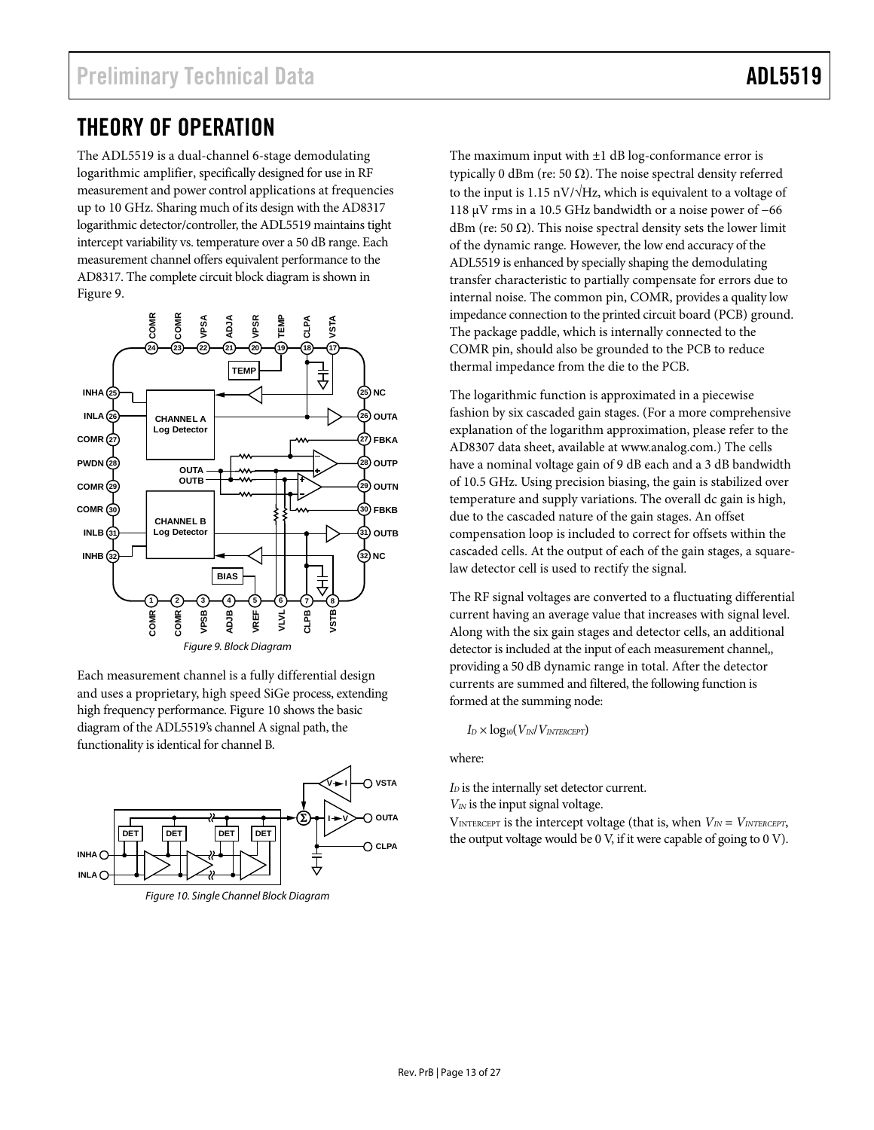### <span id="page-12-0"></span>THEORY OF OPERATION

The ADL5519 is a dual-channel 6-stage demodulating logarithmic amplifier, specifically designed for use in RF measurement and power control applications at frequencies up to 10 GHz. Sharing much of its design with the AD8317 logarithmic detector/controller, the ADL5519 maintains tight intercept variability vs. temperature over a 50 dB range. Each measurement channel offers equivalent performance to the AD8317. The complete circuit block diagram is shown in [Figure 9](#page-12-1).



<span id="page-12-1"></span>Each measurement channel is a fully differential design and uses a proprietary, high speed SiGe process, extending high frequency performance. [Figure 10](#page-12-2) shows the basic diagram of the ADL5519's channel A signal path, the functionality is identical for channel B.



<span id="page-12-2"></span>Figure 10. Single Channel Block Diagram

The maximum input with  $\pm 1$  dB log-conformance error is typically 0 dBm (re: 50 Ω). The noise spectral density referred to the input is 1.15 nV/ $\sqrt{Hz}$ , which is equivalent to a voltage of 118 μV rms in a 10.5 GHz bandwidth or a noise power of −66 dBm (re: 50  $\Omega$ ). This noise spectral density sets the lower limit of the dynamic range. However, the low end accuracy of the ADL5519 is enhanced by specially shaping the demodulating transfer characteristic to partially compensate for errors due to internal noise. The common pin, COMR, provides a quality low impedance connection to the printed circuit board (PCB) ground. The package paddle, which is internally connected to the COMR pin, should also be grounded to the PCB to reduce thermal impedance from the die to the PCB.

The logarithmic function is approximated in a piecewise fashion by six cascaded gain stages. (For a more comprehensive explanation of the logarithm approximation, please refer to the AD8307 data sheet, available at www.analog.com.) The cells have a nominal voltage gain of 9 dB each and a 3 dB bandwidth of 10.5 GHz. Using precision biasing, the gain is stabilized over temperature and supply variations. The overall dc gain is high, due to the cascaded nature of the gain stages. An offset compensation loop is included to correct for offsets within the cascaded cells. At the output of each of the gain stages, a squarelaw detector cell is used to rectify the signal.

The RF signal voltages are converted to a fluctuating differential current having an average value that increases with signal level. Along with the six gain stages and detector cells, an additional detector is included at the input of each measurement channel,, providing a 50 dB dynamic range in total. After the detector currents are summed and filtered, the following function is formed at the summing node:

*ID* × log10(*VIN*/*VINTERCEPT*)

where:

*I*<sub>D</sub> is the internally set detector current.

*VIN* is the input signal voltage.

 $V_{\text{INTERCEPT}}$  is the intercept voltage (that is, when  $V_{\text{IN}} = V_{\text{INTERCEPT}}$ , the output voltage would be 0 V, if it were capable of going to 0 V).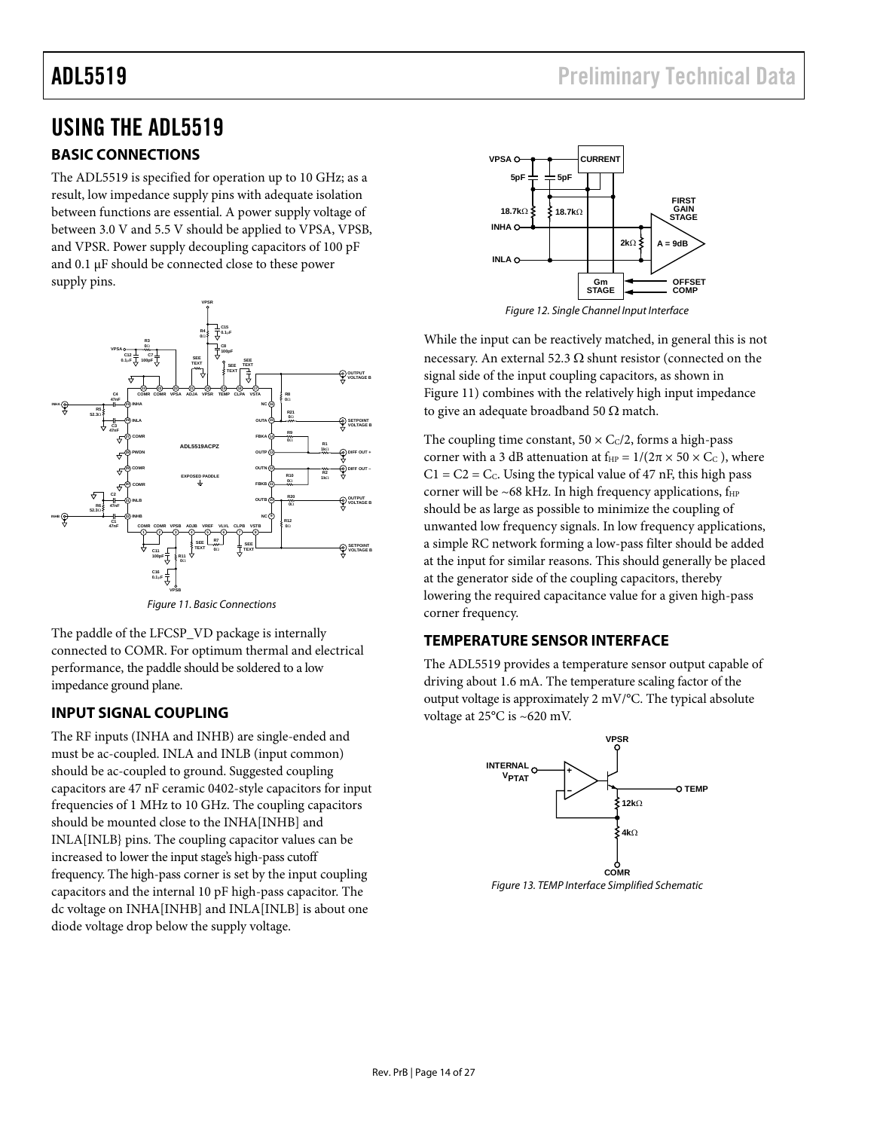### <span id="page-13-0"></span>USING THE ADL5519

### **BASIC CONNECTIONS**

The ADL5519 is specified for operation up to 10 GHz; as a result, low impedance supply pins with adequate isolation between functions are essential. A power supply voltage of between 3.0 V and 5.5 V should be applied to VPSA, VPSB, and VPSR. Power supply decoupling capacitors of 100 pF and 0.1 μF should be connected close to these power supply pins.



Figure 11. Basic Connections

<span id="page-13-1"></span>The paddle of the LFCSP\_VD package is internally connected to COMR. For optimum thermal and electrical performance, the paddle should be soldered to a low impedance ground plane.

### **INPUT SIGNAL COUPLING**

The RF inputs (INHA and INHB) are single-ended and must be ac-coupled. INLA and INLB (input common) should be ac-coupled to ground. Suggested coupling capacitors are 47 nF ceramic 0402-style capacitors for input frequencies of 1 MHz to 10 GHz. The coupling capacitors should be mounted close to the INHA[INHB] and INLA[INLB} pins. The coupling capacitor values can be increased to lower the input stage's high-pass cutoff frequency. The high-pass corner is set by the input coupling capacitors and the internal 10 pF high-pass capacitor. The dc voltage on INHA[INHB] and INLA[INLB] is about one diode voltage drop below the supply voltage.



Figure 12. Single Channel Input Interface

While the input can be reactively matched, in general this is not necessary. An external 52.3  $\Omega$  shunt resistor (connected on the signal side of the input coupling capacitors, as shown in [Figure 11](#page-13-1)) combines with the relatively high input impedance to give an adequate broadband 50  $\Omega$  match.

The coupling time constant,  $50 \times C_C/2$ , forms a high-pass corner with a 3 dB attenuation at  $f_{HP} = 1/(2\pi \times 50 \times C_C)$ , where  $C1 = C2 = C<sub>c</sub>$ . Using the typical value of 47 nF, this high pass corner will be ~68 kHz. In high frequency applications,  $f_{HP}$ should be as large as possible to minimize the coupling of unwanted low frequency signals. In low frequency applications, a simple RC network forming a low-pass filter should be added at the input for similar reasons. This should generally be placed at the generator side of the coupling capacitors, thereby lowering the required capacitance value for a given high-pass corner frequency.

#### **TEMPERATURE SENSOR INTERFACE**

The ADL5519 provides a temperature sensor output capable of driving about 1.6 mA. The temperature scaling factor of the output voltage is approximately 2 mV/°C. The typical absolute voltage at 25°C is ~620 mV.

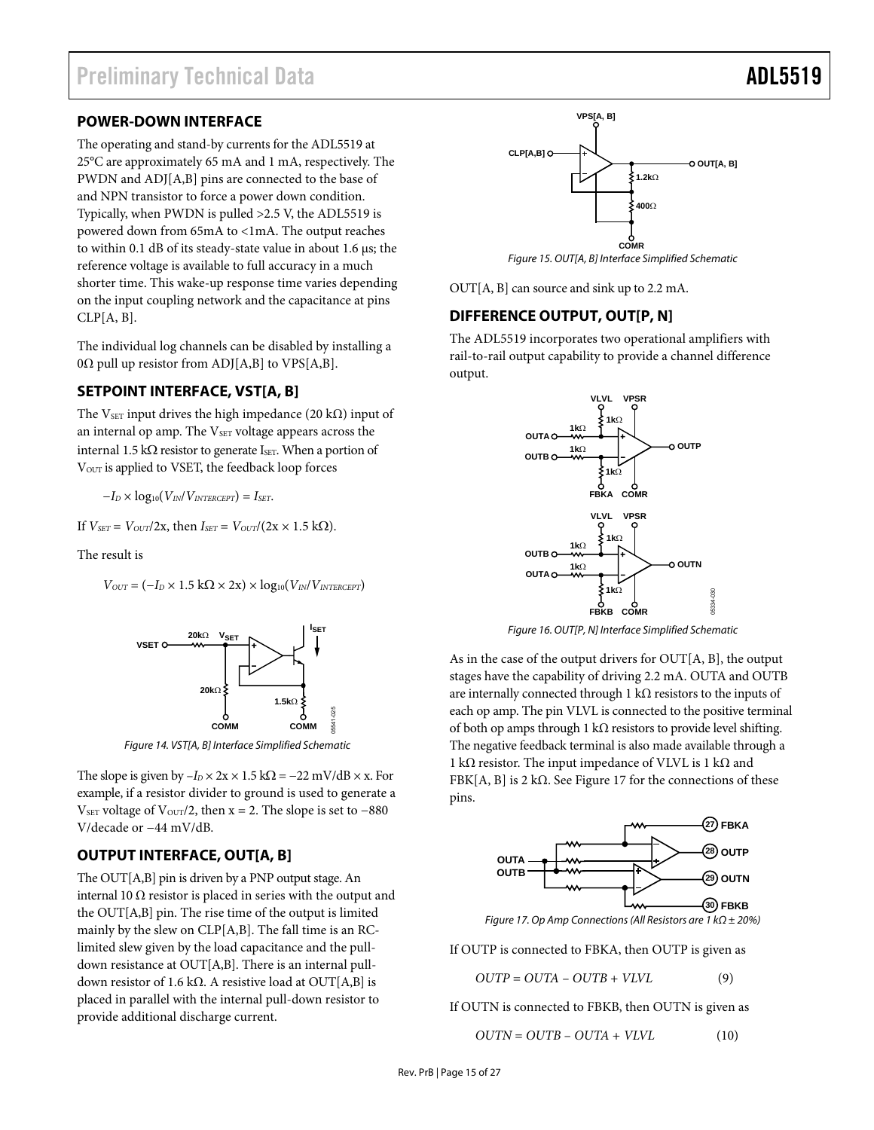### <span id="page-14-0"></span>**POWER-DOWN INTERFACE**

The operating and stand-by currents for the ADL5519 at 25°C are approximately 65 mA and 1 mA, respectively. The PWDN and ADJ[A,B] pins are connected to the base of and NPN transistor to force a power down condition. Typically, when PWDN is pulled >2.5 V, the ADL5519 is powered down from 65mA to <1mA. The output reaches to within 0.1 dB of its steady-state value in about 1.6 μs; the reference voltage is available to full accuracy in a much shorter time. This wake-up response time varies depending on the input coupling network and the capacitance at pins  $CLP[A, B].$ 

The individual log channels can be disabled by installing a 0Ω pull up resistor from ADJ[A,B] to VPS[A,B].

### **SETPOINT INTERFACE, VST[A, B]**

The V<sub>SET</sub> input drives the high impedance (20 kΩ) input of an internal op amp. The V<sub>SET</sub> voltage appears across the internal 1.5 kΩ resistor to generate Is<sub>ET</sub>. When a portion of VOUT is applied to VSET, the feedback loop forces

 $-I_D \times log_{10}(V_{IN}/V_{INTERCEPT}) = I_{SET}$ .

If 
$$
V_{SET} = V_{OUT}/2x
$$
, then  $I_{SET} = V_{OUT}/(2x \times 1.5 \text{ k}\Omega)$ .

The result is

 $V_{OUT} = (-I_D \times 1.5 \text{ k}\Omega \times 2\text{x}) \times \log_{10}(V_{IN}/V_{INTERCEPT})$ 



Figure 14. VST[A, B] Interface Simplified Schematic

The slope is given by  $-I_D \times 2x \times 1.5$  k $\Omega = -22$  mV/dB  $\times$  x. For example, if a resistor divider to ground is used to generate a V<sub>SET</sub> voltage of V<sub>OUT</sub>/2, then  $x = 2$ . The slope is set to –880 V/decade or −44 mV/dB.

### **OUTPUT INTERFACE, OUT[A, B]**

<span id="page-14-1"></span>The OUT[A,B] pin is driven by a PNP output stage. An internal 10  $\Omega$  resistor is placed in series with the output and the OUT[A,B] pin. The rise time of the output is limited mainly by the slew on CLP[A,B]. The fall time is an RClimited slew given by the load capacitance and the pulldown resistance at OUT[A,B]. There is an internal pulldown resistor of 1.6 kΩ. A resistive load at OUT[A,B] is placed in parallel with the internal pull-down resistor to provide additional discharge current.



Figure 15. OUT[A, B] Interface Simplified Schematic

OUT[A, B] can source and sink up to 2.2 mA.

#### **DIFFERENCE OUTPUT, OUT[P, N]**

The ADL5519 incorporates two operational amplifiers with rail-to-rail output capability to provide a channel difference output.



Figure 16. OUT[P, N] Interface Simplified Schematic

As in the case of the output drivers for OUT[A, B], the output stages have the capability of driving 2.2 mA. OUTA and OUTB are internally connected through 1 k $\Omega$  resistors to the inputs of each op amp. The pin VLVL is connected to the positive terminal of both op amps through 1 kΩ resistors to provide level shifting. The negative feedback terminal is also made available through a 1 kΩ resistor. The input impedance of VLVL is 1 kΩ and FBK[A, B] is 2 k $\Omega$ . See [Figure 17](#page-14-1) for the connections of these pins.



If OUTP is connected to FBKA, then OUTP is given as

*OUTP* = *OUTA* – *OUTB* + *VLVL* (9)

If OUTN is connected to FBKB, then OUTN is given as

*OUTN* = *OUTB* – *OUTA* + *VLVL* (10)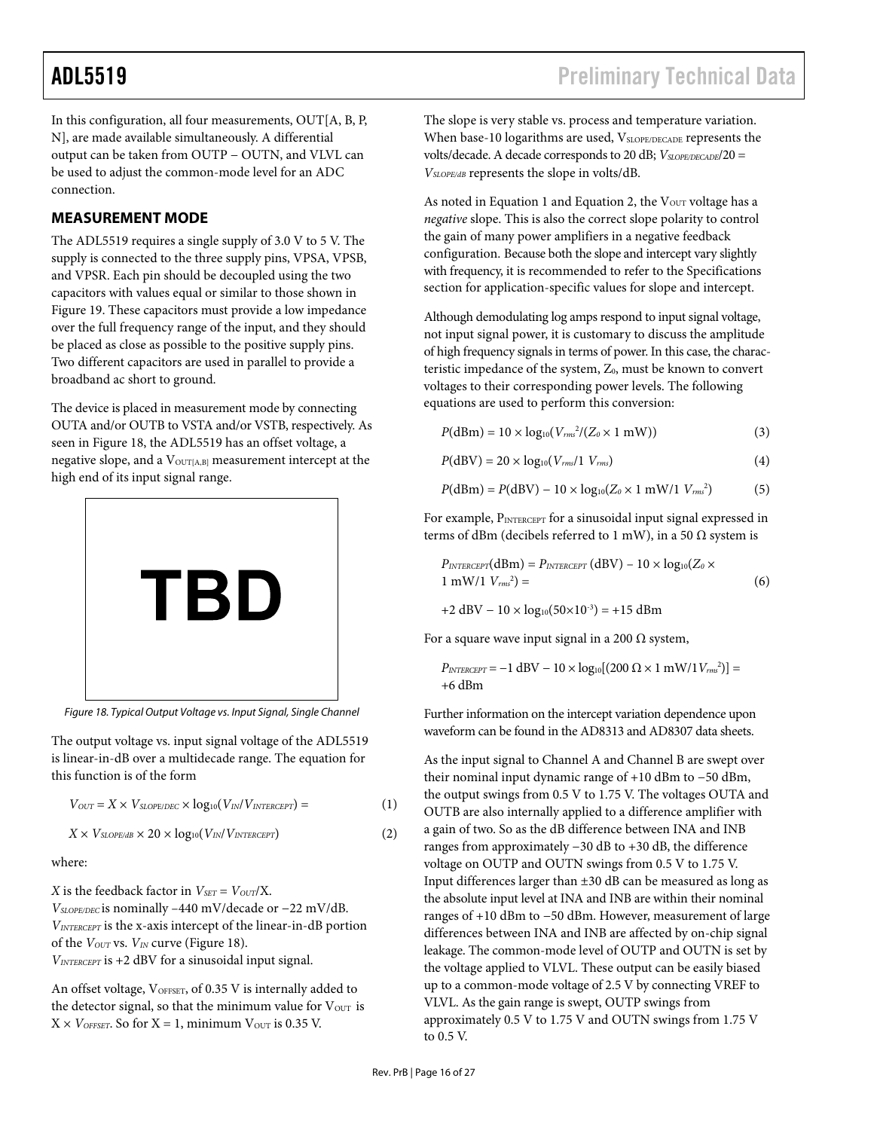<span id="page-15-0"></span>In this configuration, all four measurements, OUT[A, B, P, N], are made available simultaneously. A differential output can be taken from OUTP − OUTN, and VLVL can be used to adjust the common-mode level for an ADC connection.

### **MEASUREMENT MODE**

The ADL5519 requires a single supply of 3.0 V to 5 V. The supply is connected to the three supply pins, VPSA, VPSB, and VPSR. Each pin should be decoupled using the two capacitors with values equal or similar to those shown in [Figure 19](#page-16-1). These capacitors must provide a low impedance over the full frequency range of the input, and they should be placed as close as possible to the positive supply pins. Two different capacitors are used in parallel to provide a broadband ac short to ground.

The device is placed in measurement mode by connecting OUTA and/or OUTB to VSTA and/or VSTB, respectively. As seen in [Figure 18](#page-15-1), the ADL5519 has an offset voltage, a negative slope, and a V<sub>OUT[A,B]</sub> measurement intercept at the high end of its input signal range.



Figure 18. Typical Output Voltage vs. Input Signal, Single Channel

<span id="page-15-1"></span>The output voltage vs. input signal voltage of the ADL5519 is linear-in-dB over a multidecade range. The equation for this function is of the form

 $V_{OUT} = X \times V_{SLOPE/DEC} \times log_{10}(V_{IN}/V_{INTERCEPT}) =$  (1)

$$
X \times V_{SLOPE/dB} \times 20 \times log_{10}(V_{IN}/V_{INTERCEPT})
$$
 (2)

where:

*X* is the feedback factor in  $V_{SET} = V_{OUT}/X$ . *VSLOPE/DEC* is nominally –440 mV/decade or −22 mV/dB. *VINTERCEPT* is the x-axis intercept of the linear-in-dB portion of the *VOUT* vs. *VIN* curve ([Figure 18](#page-15-1)). *VINTERCEPT* is +2 dBV for a sinusoidal input signal.

An offset voltage, VOFFSET, of 0.35 V is internally added to the detector signal, so that the minimum value for  $V_{\text{OUT}}$  is  $X \times V_{\text{OFFSET}}$ . So for  $X = 1$ , minimum  $V_{\text{OUT}}$  is 0.35 V.

The slope is very stable vs. process and temperature variation. When base-10 logarithms are used, VSLOPE/DECADE represents the volts/decade. A decade corresponds to 20 dB;  $V_{SLOPE/DECADE}/20$  = *VSLOPE/dB* represents the slope in volts/dB.

As noted in Equation 1 and Equation 2, the  $V<sub>OUT</sub>$  voltage has a *negative* slope. This is also the correct slope polarity to control the gain of many power amplifiers in a negative feedback configuration. Because both the slope and intercept vary slightly with frequency, it is recommended to refer to the [Specifications](#page-2-1) section for application-specific values for slope and intercept.

Although demodulating log amps respond to input signal voltage, not input signal power, it is customary to discuss the amplitude of high frequency signals in terms of power. In this case, the characteristic impedance of the system, Z<sub>0</sub>, must be known to convert voltages to their corresponding power levels. The following equations are used to perform this conversion:

$$
P(\text{dBm}) = 10 \times \log_{10}(V_{rms}^2/(Z_0 \times 1 \text{ mW})) \tag{3}
$$

$$
P(dBV) = 20 \times log_{10}(V_{rms}/1 \ V_{rms})
$$
\n(4)

$$
P(\text{dBm}) = P(\text{dBV}) - 10 \times \log_{10}(Z_0 \times 1 \text{ mW}/1 \text{ V}_{\text{rms}}^2)
$$
 (5)

For example, PINTERCEPT for a sinusoidal input signal expressed in terms of dBm (decibels referred to 1 mW), in a 50  $\Omega$  system is

$$
P_{INTERCEPT}(dBm) = P_{INTERCEPT}(dBV) - 10 \times log_{10}(Z_0 \times 1 \text{ mW}/1 V_{rms}^2)
$$
\n
$$
+2 dBV - 10 \times log_{10}(50 \times 10^{-3}) = +15 dBm
$$
\n(6)

For a square wave input signal in a 200  $\Omega$  system,

$$
P_{\text{INTERCEPT}} = -1 \text{ dBV} - 10 \times \log_{10}[(200 \ \Omega \times 1 \text{ mW}/1 \, V_{\text{rms}}^2)] =
$$
+6 dBm

Further information on the intercept variation dependence upon waveform can be found in the AD8313 and AD8307 data sheets.

As the input signal to Channel A and Channel B are swept over their nominal input dynamic range of +10 dBm to −50 dBm, the output swings from 0.5 V to 1.75 V. The voltages OUTA and OUTB are also internally applied to a difference amplifier with a gain of two. So as the dB difference between INA and INB ranges from approximately −30 dB to +30 dB, the difference voltage on OUTP and OUTN swings from 0.5 V to 1.75 V. Input differences larger than  $\pm 30$  dB can be measured as long as the absolute input level at INA and INB are within their nominal ranges of +10 dBm to −50 dBm. However, measurement of large differences between INA and INB are affected by on-chip signal leakage. The common-mode level of OUTP and OUTN is set by the voltage applied to VLVL. These output can be easily biased up to a common-mode voltage of 2.5 V by connecting VREF to VLVL. As the gain range is swept, OUTP swings from approximately 0.5 V to 1.75 V and OUTN swings from 1.75 V to 0.5 V.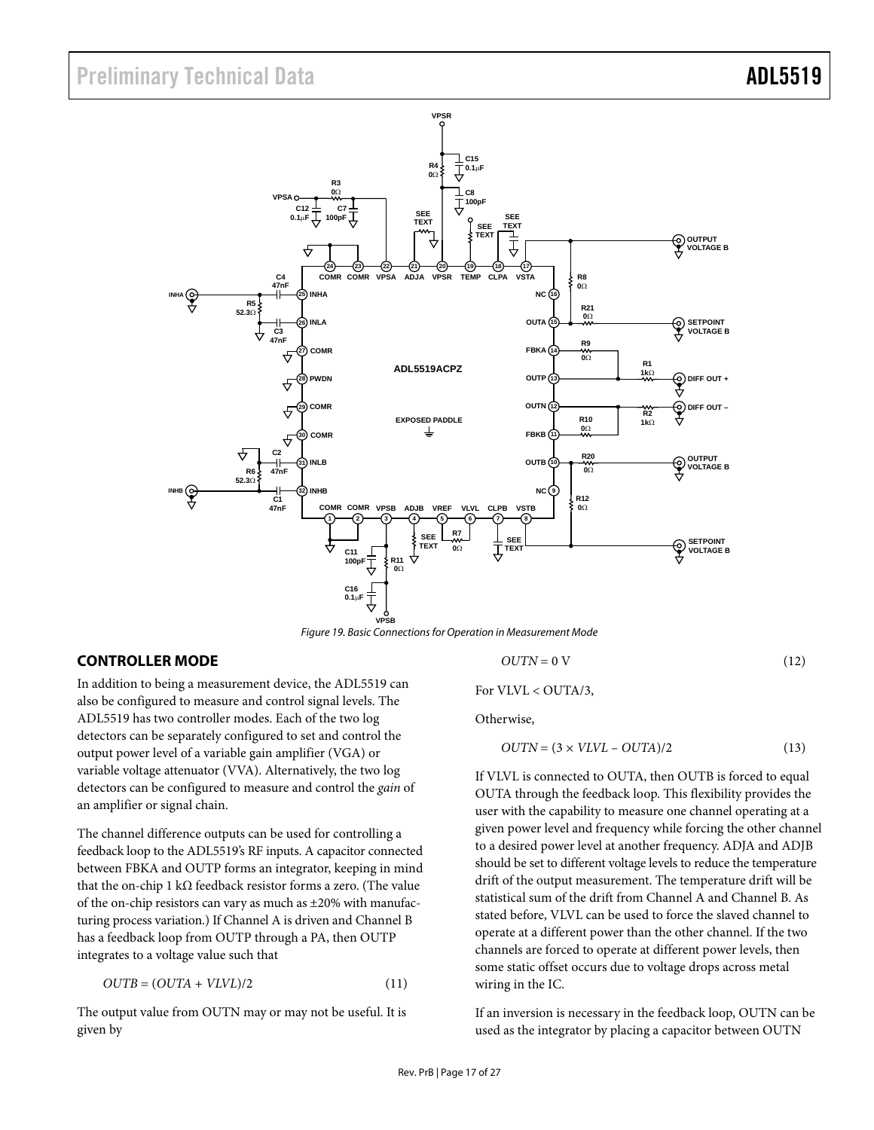<span id="page-16-0"></span>

Figure 19. Basic Connections for Operation in Measurement Mode

### <span id="page-16-2"></span><span id="page-16-1"></span>**CONTROLLER MODE**

In addition to being a measurement device, the ADL5519 can also be configured to measure and control signal levels. The ADL5519 has two controller modes. Each of the two log detectors can be separately configured to set and control the output power level of a variable gain amplifier (VGA) or variable voltage attenuator (VVA). Alternatively, the two log detectors can be configured to measure and control the *gain* of an amplifier or signal chain.

The channel difference outputs can be used for controlling a feedback loop to the ADL5519's RF inputs. A capacitor connected between FBKA and OUTP forms an integrator, keeping in mind that the on-chip 1 kΩ feedback resistor forms a zero. (The value of the on-chip resistors can vary as much as ±20% with manufacturing process variation.) If Channel A is driven and Channel B has a feedback loop from OUTP through a PA, then OUTP integrates to a voltage value such that

$$
OUTB = (OUTA + VLVL)/2 \tag{11}
$$

The output value from OUTN may or may not be useful. It is given by

$$
OUTN = 0 V \tag{12}
$$

For VLVL < OUTA/3,

Otherwise,

$$
OUTN = (3 \times VLVL - OUTA)/2 \tag{13}
$$

If VLVL is connected to OUTA, then OUTB is forced to equal OUTA through the feedback loop. This flexibility provides the user with the capability to measure one channel operating at a given power level and frequency while forcing the other channel to a desired power level at another frequency. ADJA and ADJB should be set to different voltage levels to reduce the temperature drift of the output measurement. The temperature drift will be statistical sum of the drift from Channel A and Channel B. As stated before, VLVL can be used to force the slaved channel to operate at a different power than the other channel. If the two channels are forced to operate at different power levels, then some static offset occurs due to voltage drops across metal wiring in the IC.

If an inversion is necessary in the feedback loop, OUTN can be used as the integrator by placing a capacitor between OUTN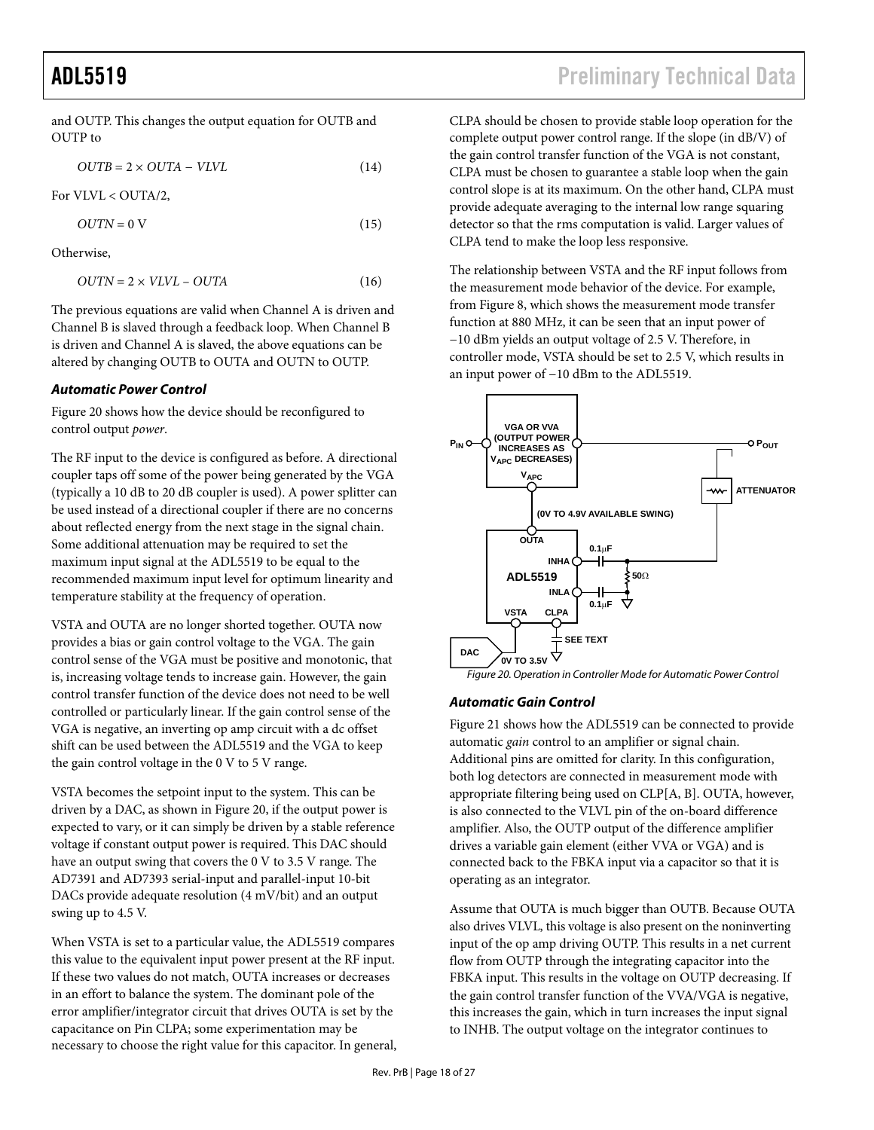and OUTP. This changes the output equation for OUTB and OUTP to

$$
OUTB = 2 \times OUTA - VLVL \tag{14}
$$

For VLVL < OUTA/2,

$$
OUTN = 0 V \tag{15}
$$

Otherwise,

$$
OUTN = 2 \times VLVL - OUTA \tag{16}
$$

The previous equations are valid when Channel A is driven and Channel B is slaved through a feedback loop. When Channel B is driven and Channel A is slaved, the above equations can be altered by changing OUTB to OUTA and OUTN to OUTP.

#### **Automatic Power Control**

[Figure 20](#page-17-0) shows how the device should be reconfigured to control output *power*.

The RF input to the device is configured as before. A directional coupler taps off some of the power being generated by the VGA (typically a 10 dB to 20 dB coupler is used). A power splitter can be used instead of a directional coupler if there are no concerns about reflected energy from the next stage in the signal chain. Some additional attenuation may be required to set the maximum input signal at the ADL5519 to be equal to the recommended maximum input level for optimum linearity and temperature stability at the frequency of operation.

<span id="page-17-0"></span>VSTA and OUTA are no longer shorted together. OUTA now provides a bias or gain control voltage to the VGA. The gain control sense of the VGA must be positive and monotonic, that is, increasing voltage tends to increase gain. However, the gain control transfer function of the device does not need to be well controlled or particularly linear. If the gain control sense of the VGA is negative, an inverting op amp circuit with a dc offset shift can be used between the ADL5519 and the VGA to keep the gain control voltage in the 0 V to 5 V range.

VSTA becomes the setpoint input to the system. This can be driven by a DAC, as shown in [Figure 20](#page-17-0), if the output power is expected to vary, or it can simply be driven by a stable reference voltage if constant output power is required. This DAC should have an output swing that covers the 0 V to 3.5 V range. The [AD7391](http://www.analog.com/en/prod/0,2877,AD7391,00.html) and [AD7393](http://www.analog.com/en/prod/0%2C2877%2CAD7393%2C00.html) serial-input and parallel-input 10-bit DACs provide adequate resolution (4 mV/bit) and an output swing up to 4.5 V.

When VSTA is set to a particular value, the ADL5519 compares this value to the equivalent input power present at the RF input. If these two values do not match, OUTA increases or decreases in an effort to balance the system. The dominant pole of the error amplifier/integrator circuit that drives OUTA is set by the capacitance on Pin CLPA; some experimentation may be necessary to choose the right value for this capacitor. In general, CLPA should be chosen to provide stable loop operation for the complete output power control range. If the slope (in dB/V) of the gain control transfer function of the VGA is not constant, CLPA must be chosen to guarantee a stable loop when the gain control slope is at its maximum. On the other hand, CLPA must provide adequate averaging to the internal low range squaring detector so that the rms computation is valid. Larger values of CLPA tend to make the loop less responsive.

The relationship between VSTA and the RF input follows from the measurement mode behavior of the device. For example, from [Figure 8](#page-11-1), which shows the measurement mode transfer function at 880 MHz, it can be seen that an input power of −10 dBm yields an output voltage of 2.5 V. Therefore, in controller mode, VSTA should be set to 2.5 V, which results in an input power of −10 dBm to the ADL5519.



#### **Automatic Gain Control**

[Figure 21](#page-18-0) shows how the ADL5519 can be connected to provide automatic *gain* control to an amplifier or signal chain. Additional pins are omitted for clarity. In this configuration, both log detectors are connected in measurement mode with appropriate filtering being used on CLP[A, B]. OUTA, however, is also connected to the VLVL pin of the on-board difference amplifier. Also, the OUTP output of the difference amplifier drives a variable gain element (either VVA or VGA) and is connected back to the FBKA input via a capacitor so that it is operating as an integrator.

Assume that OUTA is much bigger than OUTB. Because OUTA also drives VLVL, this voltage is also present on the noninverting input of the op amp driving OUTP. This results in a net current flow from OUTP through the integrating capacitor into the FBKA input. This results in the voltage on OUTP decreasing. If the gain control transfer function of the VVA/VGA is negative, this increases the gain, which in turn increases the input signal to INHB. The output voltage on the integrator continues to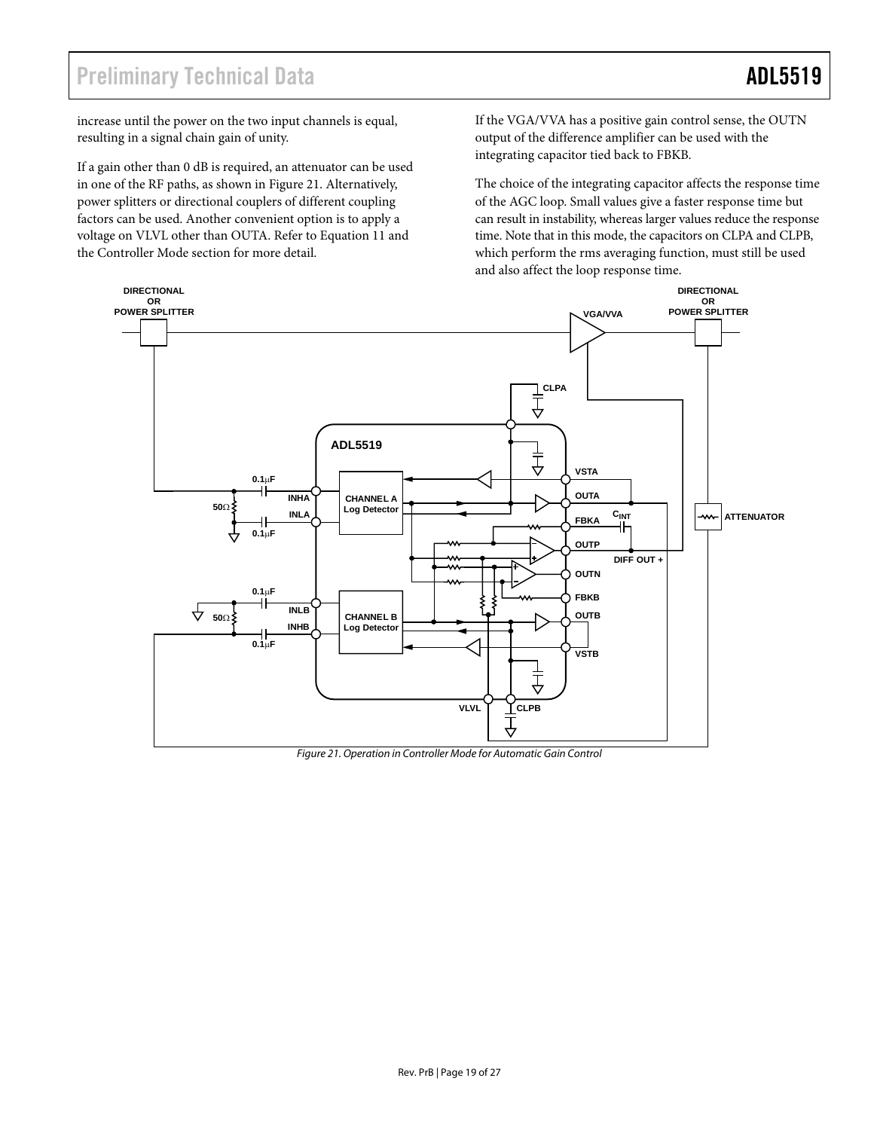increase until the power on the two input channels is equal, resulting in a signal chain gain of unity.

If a gain other than 0 dB is required, an attenuator can be used in one of the RF paths, as shown in [Figure 21.](#page-18-0) Alternatively, power splitters or directional couplers of different coupling factors can be used. Another convenient option is to apply a voltage on VLVL other than OUTA. Refer to Equation 11 and the [Controller Mode](#page-16-2) section for more detail.

If the VGA/VVA has a positive gain control sense, the OUTN output of the difference amplifier can be used with the integrating capacitor tied back to FBKB.

The choice of the integrating capacitor affects the response time of the AGC loop. Small values give a faster response time but can result in instability, whereas larger values reduce the response time. Note that in this mode, the capacitors on CLPA and CLPB, which perform the rms averaging function, must still be used and also affect the loop response time.



<span id="page-18-0"></span>Figure 21. Operation in Controller Mode for Automatic Gain Control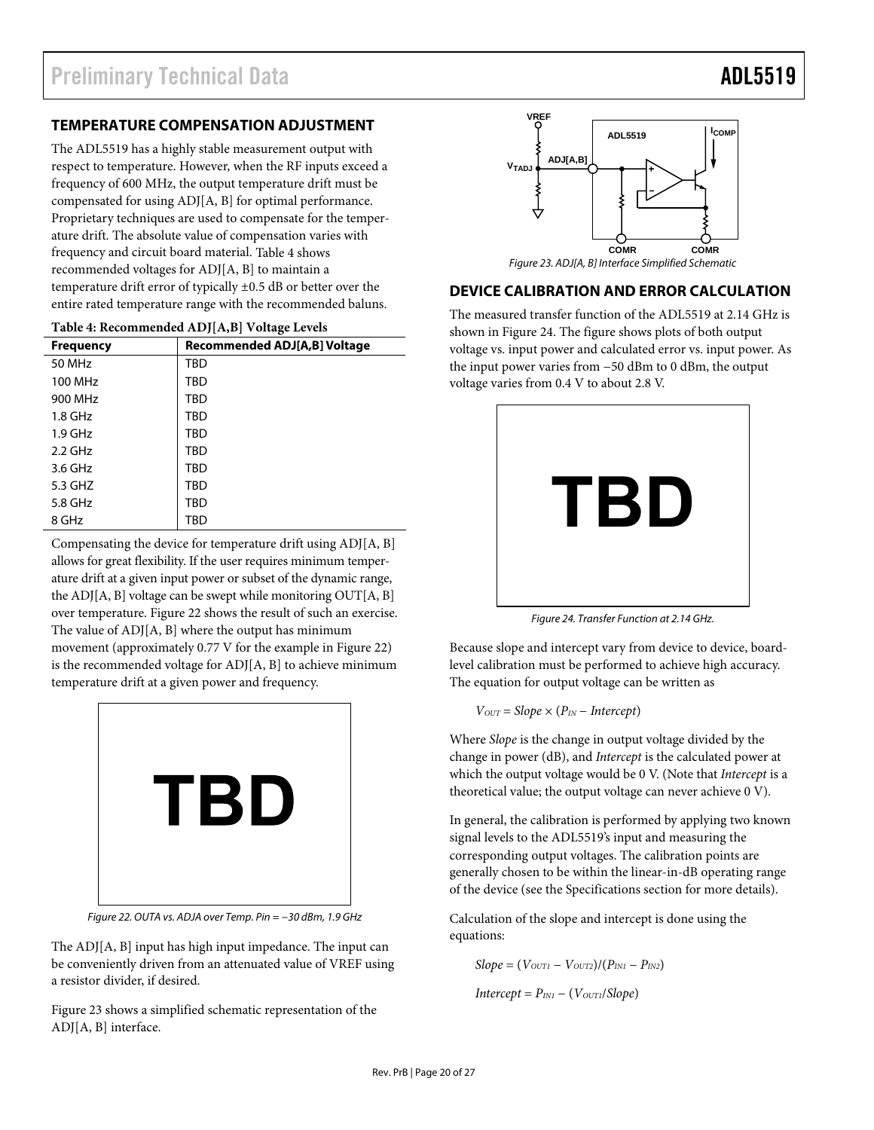### <span id="page-19-0"></span>**TEMPERATURE COMPENSATION ADJUSTMENT**

The ADL5519 has a highly stable measurement output with respect to temperature. However, when the RF inputs exceed a frequency of 600 MHz, the output temperature drift must be compensated for using ADJ[A, B] for optimal performance. Proprietary techniques are used to compensate for the temperature drift. The absolute value of compensation varies with frequency and circuit board material. [Table 4](#page-19-1) shows recommended voltages for ADJ[A, B] to maintain a temperature drift error of typically ±0.5 dB or better over the entire rated temperature range with the recommended baluns.

<span id="page-19-1"></span>

| <b>Frequency</b> | Recommended ADJ[A,B] Voltage |
|------------------|------------------------------|
| 50 MHz           | TBD                          |
| 100 MHz          | <b>TBD</b>                   |
| 900 MHz          | TBD                          |
| $1.8$ GHz        | TBD                          |
| $1.9$ GHz        | TBD                          |
| $2.2$ GHz        | <b>TBD</b>                   |
| 3.6 GHz          | TBD                          |
| 5.3 GHZ          | <b>TBD</b>                   |
| 5.8 GHz          | <b>TBD</b>                   |
| 8 GHz            | TBD                          |

<span id="page-19-3"></span>**Table 4: Recommended ADJ[A,B] Voltage Levels** 

<span id="page-19-4"></span>Compensating the device for temperature drift using ADJ[A, B] allows for great flexibility. If the user requires minimum temperature drift at a given input power or subset of the dynamic range, the ADJ[A, B] voltage can be swept while monitoring OUT[A, B] over temperature. [Figure 22](#page-19-2) shows the result of such an exercise. The value of ADJ[A, B] where the output has minimum movement (approximately 0.77 V for the example in [Figure 22](#page-19-2)) is the recommended voltage for ADJ[A, B] to achieve minimum temperature drift at a given power and frequency.



Figure 22. OUTA vs. ADJA over Temp. Pin = −30 dBm, 1.9 GHz

<span id="page-19-2"></span>The ADJ[A, B] input has high input impedance. The input can be conveniently driven from an attenuated value of VREF using a resistor divider, if desired.

[Figure 23](#page-19-3) shows a simplified schematic representation of the ADJ[A, B] interface.



Figure 23. ADJ[A, B] Interface Simplified Schematic

### **DEVICE CALIBRATION AND ERROR CALCULATION**

The measured transfer function of the ADL5519 at 2.14 GHz is shown in [Figure 24](#page-19-4). The figure shows plots of both output voltage vs. input power and calculated error vs. input power. As the input power varies from −50 dBm to 0 dBm, the output voltage varies from 0.4 V to about 2.8 V.



Figure 24. Transfer Function at 2.14 GHz.

Because slope and intercept vary from device to device, boardlevel calibration must be performed to achieve high accuracy. The equation for output voltage can be written as

$$
V_{OUT} = Slope \times (P_{IN} - \text{Intercept})
$$

Where *Slope* is the change in output voltage divided by the change in power (dB), and *Intercept* is the calculated power at which the output voltage would be 0 V. (Note that *Intercept* is a theoretical value; the output voltage can never achieve 0 V).

In general, the calibration is performed by applying two known signal levels to the ADL5519's input and measuring the corresponding output voltages. The calibration points are generally chosen to be within the linear-in-dB operating range of the device (see the [Specifications](#page-2-1) section for more details).

Calculation of the slope and intercept is done using the equations:

Slope = 
$$
(V_{OUT1} - V_{OUT2})/(P_{IN1} - P_{IN2})
$$
  
Intercept =  $P_{IN1} - (V_{OUT1}/Slope)$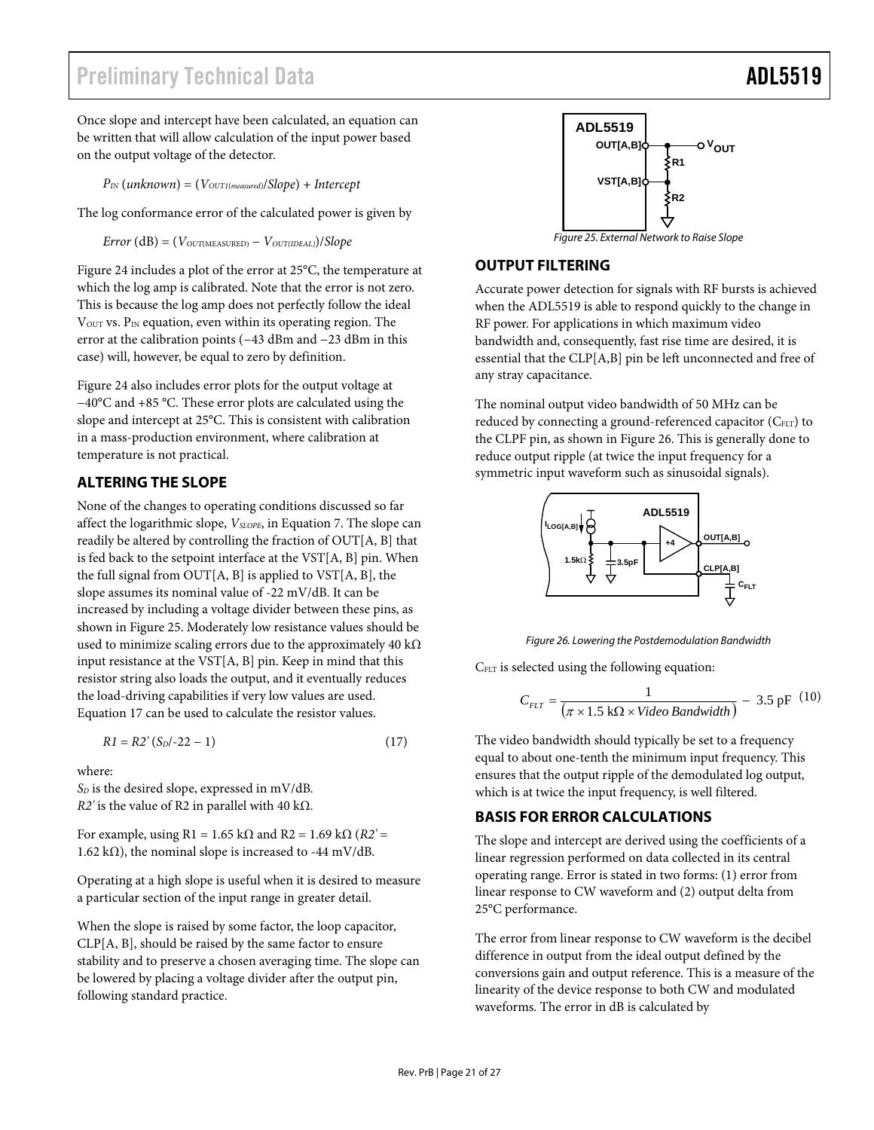## <span id="page-20-0"></span>Preliminary Technical Data ADL5519 and ADL5519

Once slope and intercept have been calculated, an equation can be written that will allow calculation of the input power based on the output voltage of the detector.

*PIN* (*unknown*) = (*VOUT1*(*measured)*/*Slope*) + *Intercept*

The log conformance error of the calculated power is given by

 $Error (dB) = (V_{OUT(MEASURED)} - V_{OUT(IDEAL)})/Slope$ 

<span id="page-20-3"></span><span id="page-20-1"></span>[Figure 24](#page-19-4) includes a plot of the error at 25°C, the temperature at which the log amp is calibrated. Note that the error is not zero. This is because the log amp does not perfectly follow the ideal  $V<sub>OUT</sub>$  vs.  $P<sub>IN</sub>$  equation, even within its operating region. The error at the calibration points (−43 dBm and −23 dBm in this case) will, however, be equal to zero by definition.

[Figure 24](#page-19-4) also includes error plots for the output voltage at −40°C and +85 °C. These error plots are calculated using the slope and intercept at 25°C. This is consistent with calibration in a mass-production environment, where calibration at temperature is not practical.

### **ALTERING THE SLOPE**

None of the changes to operating conditions discussed so far affect the logarithmic slope, *VSLOPE*, in Equation 7. The slope can readily be altered by controlling the fraction of OUT[A, B] that is fed back to the setpoint interface at the VST[A, B] pin. When the full signal from OUT[A, B] is applied to  $VST[A, B]$ , the slope assumes its nominal value of -22 mV/dB. It can be increased by including a voltage divider between these pins, as shown in [Figure 25](#page-20-1). Moderately low resistance values should be used to minimize scaling errors due to the approximately 40 k $\Omega$ input resistance at the VST[A, B] pin. Keep in mind that this resistor string also loads the output, and it eventually reduces the load-driving capabilities if very low values are used. Equation 17 can be used to calculate the resistor values.

<span id="page-20-2"></span>
$$
R1 = R2'(S_D/-22 - 1)
$$
 (17)

where:

 $S_D$  is the desired slope, expressed in mV/dB.  $R2'$  is the value of R2 in parallel with 40 k $\Omega$ .

For example, using  $R1 = 1.65$  k $\Omega$  and  $R2 = 1.69$  k $\Omega$  ( $R2' =$ 1.62 k $\Omega$ ), the nominal slope is increased to -44 mV/dB.

Operating at a high slope is useful when it is desired to measure a particular section of the input range in greater detail.

When the slope is raised by some factor, the loop capacitor, CLP[A, B], should be raised by the same factor to ensure stability and to preserve a chosen averaging time. The slope can be lowered by placing a voltage divider after the output pin, following standard practice.



Figure 25. External Network to Raise Slope

#### **OUTPUT FILTERING**

Accurate power detection for signals with RF bursts is achieved when the ADL5519 is able to respond quickly to the change in RF power. For applications in which maximum video bandwidth and, consequently, fast rise time are desired, it is essential that the CLP[A,B] pin be left unconnected and free of any stray capacitance.

The nominal output video bandwidth of 50 MHz can be reduced by connecting a ground-referenced capacitor (C<sub>FLT</sub>) to the CLPF pin, as shown in [Figure 26](#page-20-2). This is generally done to reduce output ripple (at twice the input frequency for a symmetric input waveform such as sinusoidal signals).



Figure 26. Lowering the Postdemodulation Bandwidth

CFLT is selected using the following equation:

$$
C_{FLT} = \frac{1}{(\pi \times 1.5 \text{ k}\Omega \times \text{Video Bandwidth})} - 3.5 \text{ pF} \quad (10)
$$

The video bandwidth should typically be set to a frequency equal to about one-tenth the minimum input frequency. This ensures that the output ripple of the demodulated log output, which is at twice the input frequency, is well filtered.

#### **BASIS FOR ERROR CALCULATIONS**

The slope and intercept are derived using the coefficients of a linear regression performed on data collected in its central operating range. Error is stated in two forms: (1) error from linear response to CW waveform and (2) output delta from 25°C performance.

The error from linear response to CW waveform is the decibel difference in output from the ideal output defined by the conversions gain and output reference. This is a measure of the linearity of the device response to both CW and modulated waveforms. The error in dB is calculated by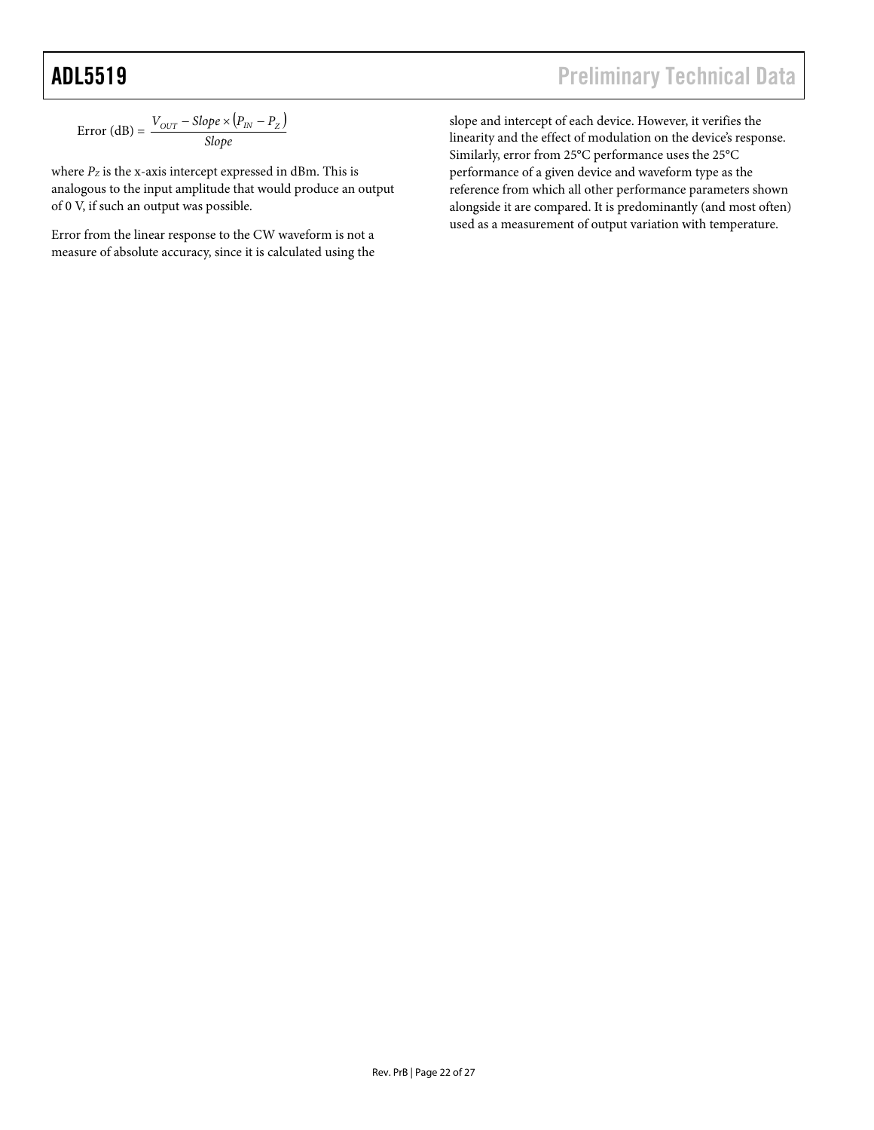$\text{Error (dB)} = \frac{V_{OUT} - \text{Slope} \times (P_{IN} - P_Z)}{\text{Slope}}$  $V_{OUT}$  – Slope  $\times (P_{IN} - P_{Z})$ 

where  $P_Z$  is the x-axis intercept expressed in dBm. This is analogous to the input amplitude that would produce an output of 0 V, if such an output was possible.

Error from the linear response to the CW waveform is not a measure of absolute accuracy, since it is calculated using the

slope and intercept of each device. However, it verifies the linearity and the effect of modulation on the device's response. Similarly, error from 25°C performance uses the 25°C performance of a given device and waveform type as the reference from which all other performance parameters shown alongside it are compared. It is predominantly (and most often) used as a measurement of output variation with temperature.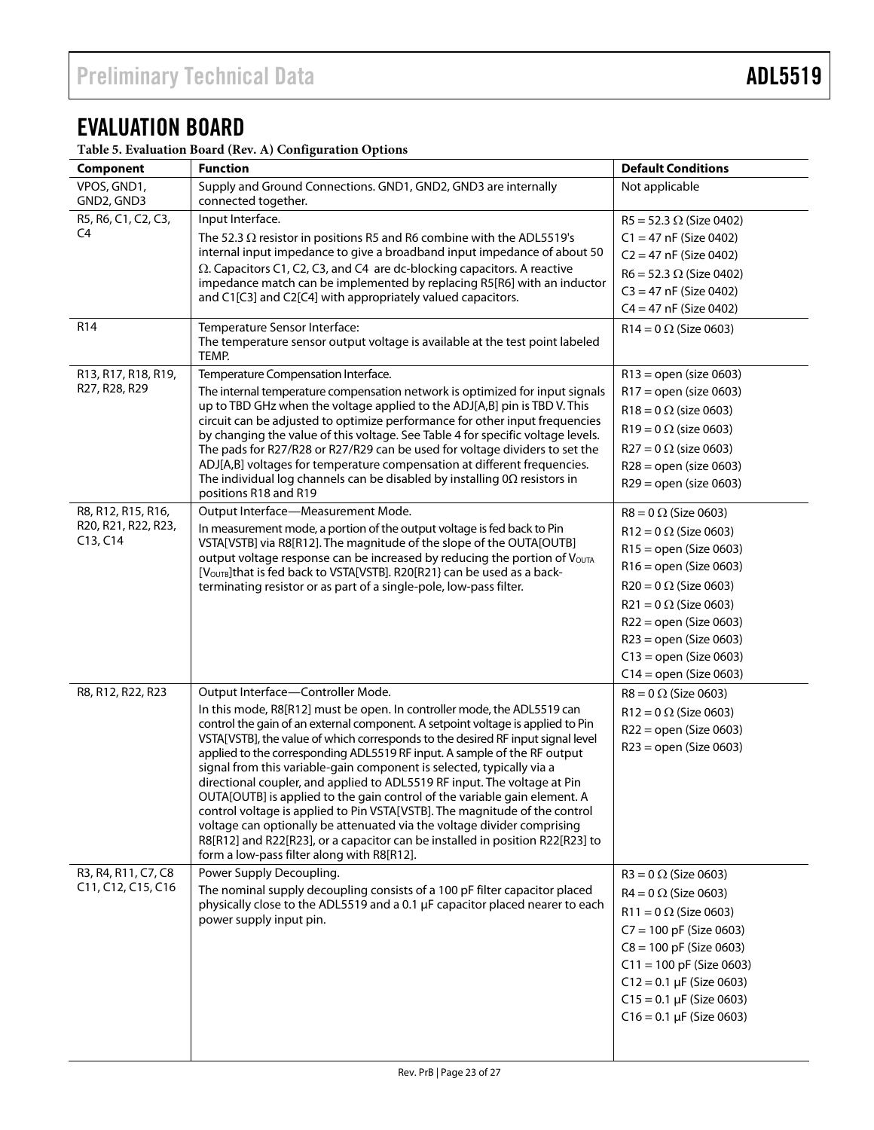## <span id="page-22-0"></span>EVALUATION BOARD

**Table 5. Evaluation Board (Rev. A) Configuration Options**

| Component                                 | <b>Function</b>                                                                                                                                                                                                           | <b>Default Conditions</b>      |  |
|-------------------------------------------|---------------------------------------------------------------------------------------------------------------------------------------------------------------------------------------------------------------------------|--------------------------------|--|
| VPOS, GND1,<br>GND2, GND3                 | Supply and Ground Connections. GND1, GND2, GND3 are internally<br>connected together.                                                                                                                                     | Not applicable                 |  |
| R5, R6, C1, C2, C3,                       | Input Interface.                                                                                                                                                                                                          | $R5 = 52.3 \Omega$ (Size 0402) |  |
| C4                                        | The 52.3 $\Omega$ resistor in positions R5 and R6 combine with the ADL5519's                                                                                                                                              | $C1 = 47$ nF (Size 0402)       |  |
|                                           | internal input impedance to give a broadband input impedance of about 50                                                                                                                                                  | $C2 = 47$ nF (Size 0402)       |  |
|                                           | $\Omega$ . Capacitors C1, C2, C3, and C4 are dc-blocking capacitors. A reactive<br>impedance match can be implemented by replacing R5[R6] with an inductor<br>and C1[C3] and C2[C4] with appropriately valued capacitors. | $R6 = 52.3 \Omega$ (Size 0402) |  |
|                                           |                                                                                                                                                                                                                           | $C3 = 47$ nF (Size 0402)       |  |
|                                           |                                                                                                                                                                                                                           | $C4 = 47$ nF (Size 0402)       |  |
| R <sub>14</sub>                           | Temperature Sensor Interface:<br>The temperature sensor output voltage is available at the test point labeled<br>TEMP.                                                                                                    | $R14 = 0 \Omega$ (Size 0603)   |  |
| R13, R17, R18, R19,                       | Temperature Compensation Interface.                                                                                                                                                                                       | $R13 =$ open (size 0603)       |  |
| R27, R28, R29                             | The internal temperature compensation network is optimized for input signals                                                                                                                                              | $R17 = open (size 0603)$       |  |
|                                           | up to TBD GHz when the voltage applied to the ADJ[A,B] pin is TBD V. This                                                                                                                                                 | $R18 = 0 \Omega$ (size 0603)   |  |
|                                           | circuit can be adjusted to optimize performance for other input frequencies<br>by changing the value of this voltage. See Table 4 for specific voltage levels.                                                            | $R19 = 0 \Omega$ (size 0603)   |  |
|                                           | The pads for R27/R28 or R27/R29 can be used for voltage dividers to set the                                                                                                                                               | $R27 = 0 \Omega$ (size 0603)   |  |
|                                           | ADJ[A,B] voltages for temperature compensation at different frequencies.                                                                                                                                                  | $R28 =$ open (size 0603)       |  |
|                                           | The individual log channels can be disabled by installing $0\Omega$ resistors in                                                                                                                                          | $R29 = open (size 0603)$       |  |
|                                           | positions R18 and R19                                                                                                                                                                                                     |                                |  |
| R8, R12, R15, R16,                        | Output Interface-Measurement Mode.                                                                                                                                                                                        | $R8 = 0 \Omega$ (Size 0603)    |  |
| R20, R21, R22, R23,<br>C13, C14           | In measurement mode, a portion of the output voltage is fed back to Pin                                                                                                                                                   | $R12 = 0 \Omega$ (Size 0603)   |  |
|                                           | VSTA[VSTB] via R8[R12]. The magnitude of the slope of the OUTA[OUTB]<br>output voltage response can be increased by reducing the portion of VoUTA                                                                         | $R15 =$ open (Size 0603)       |  |
|                                           | [VOUTB] that is fed back to VSTA[VSTB]. R20[R21} can be used as a back-                                                                                                                                                   | $R16 =$ open (Size 0603)       |  |
|                                           | terminating resistor or as part of a single-pole, low-pass filter.                                                                                                                                                        | $R20 = 0 \Omega$ (Size 0603)   |  |
|                                           |                                                                                                                                                                                                                           | $R21 = 0 \Omega$ (Size 0603)   |  |
|                                           |                                                                                                                                                                                                                           | $R22 = open (Size 0603)$       |  |
|                                           |                                                                                                                                                                                                                           | $R23 = open (Size 0603)$       |  |
|                                           |                                                                                                                                                                                                                           | $C13 = open (Size 0603)$       |  |
|                                           |                                                                                                                                                                                                                           | $C14 =$ open (Size 0603)       |  |
| R8, R12, R22, R23                         | Output Interface-Controller Mode.                                                                                                                                                                                         | $R8 = 0 \Omega$ (Size 0603)    |  |
|                                           | In this mode, R8[R12] must be open. In controller mode, the ADL5519 can                                                                                                                                                   | $R12 = 0 \Omega$ (Size 0603)   |  |
|                                           | control the gain of an external component. A setpoint voltage is applied to Pin                                                                                                                                           | $R22 = open (Size 0603)$       |  |
|                                           | VSTA[VSTB], the value of which corresponds to the desired RF input signal level<br>applied to the corresponding ADL5519 RF input. A sample of the RF output                                                               | $R23 = open (Size 0603)$       |  |
|                                           | signal from this variable-gain component is selected, typically via a                                                                                                                                                     |                                |  |
|                                           | directional coupler, and applied to ADL5519 RF input. The voltage at Pin                                                                                                                                                  |                                |  |
|                                           | OUTA [OUTB] is applied to the gain control of the variable gain element. A                                                                                                                                                |                                |  |
|                                           | control voltage is applied to Pin VSTA[VSTB]. The magnitude of the control                                                                                                                                                |                                |  |
|                                           | voltage can optionally be attenuated via the voltage divider comprising<br>R8[R12] and R22[R23], or a capacitor can be installed in position R22[R23] to                                                                  |                                |  |
|                                           | form a low-pass filter along with R8[R12].                                                                                                                                                                                |                                |  |
| R3, R4, R11, C7, C8<br>C11, C12, C15, C16 | Power Supply Decoupling.                                                                                                                                                                                                  | $R3 = 0 \Omega$ (Size 0603)    |  |
|                                           | The nominal supply decoupling consists of a 100 pF filter capacitor placed<br>physically close to the ADL5519 and a 0.1 µF capacitor placed nearer to each                                                                | $R4 = 0 \Omega$ (Size 0603)    |  |
|                                           |                                                                                                                                                                                                                           | $R11 = 0 \Omega$ (Size 0603)   |  |
|                                           | power supply input pin.                                                                                                                                                                                                   | $C7 = 100$ pF (Size 0603)      |  |
|                                           |                                                                                                                                                                                                                           | $C8 = 100$ pF (Size 0603)      |  |
|                                           |                                                                                                                                                                                                                           | $C11 = 100$ pF (Size 0603)     |  |
|                                           |                                                                                                                                                                                                                           | $C12 = 0.1 \mu F$ (Size 0603)  |  |
|                                           |                                                                                                                                                                                                                           | $C15 = 0.1 \mu F$ (Size 0603)  |  |
|                                           |                                                                                                                                                                                                                           | $C16 = 0.1 \mu F$ (Size 0603)  |  |
|                                           |                                                                                                                                                                                                                           |                                |  |
|                                           |                                                                                                                                                                                                                           |                                |  |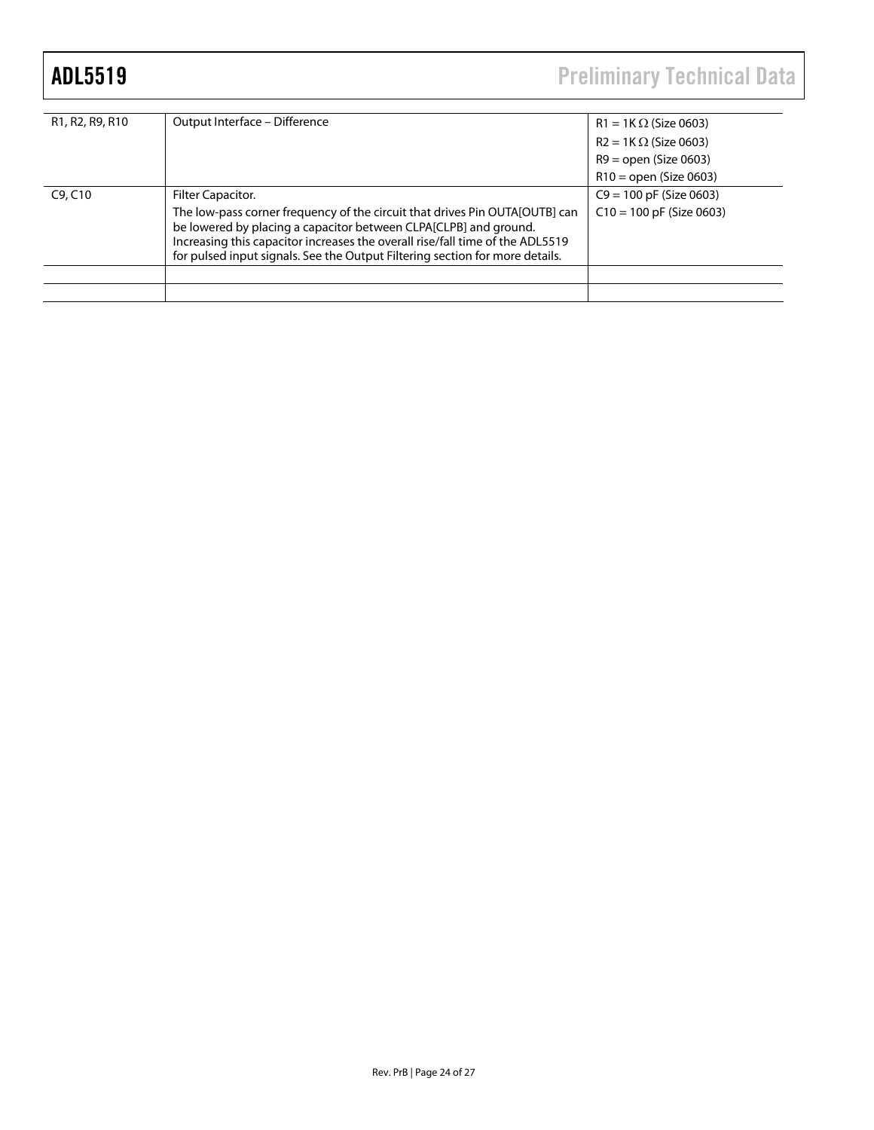# ADL5519 Preliminary Technical Data

| R1, R2, R9, R10 | Output Interface - Difference                                                                                                                                                                                                                                                                                    | $R1 = 1K \Omega$ (Size 0603) |  |
|-----------------|------------------------------------------------------------------------------------------------------------------------------------------------------------------------------------------------------------------------------------------------------------------------------------------------------------------|------------------------------|--|
|                 |                                                                                                                                                                                                                                                                                                                  | $R2 = 1K \Omega$ (Size 0603) |  |
|                 |                                                                                                                                                                                                                                                                                                                  | $R9 =$ open (Size 0603)      |  |
|                 |                                                                                                                                                                                                                                                                                                                  | $R10 =$ open (Size 0603)     |  |
| C9, C10         | Filter Capacitor.                                                                                                                                                                                                                                                                                                | $C9 = 100$ pF (Size 0603)    |  |
|                 | The low-pass corner frequency of the circuit that drives Pin OUTA[OUTB] can<br>be lowered by placing a capacitor between CLPA[CLPB] and ground.<br>Increasing this capacitor increases the overall rise/fall time of the ADL5519<br>for pulsed input signals. See the Output Filtering section for more details. | $C10 = 100$ pF (Size 0603)   |  |
|                 |                                                                                                                                                                                                                                                                                                                  |                              |  |
|                 |                                                                                                                                                                                                                                                                                                                  |                              |  |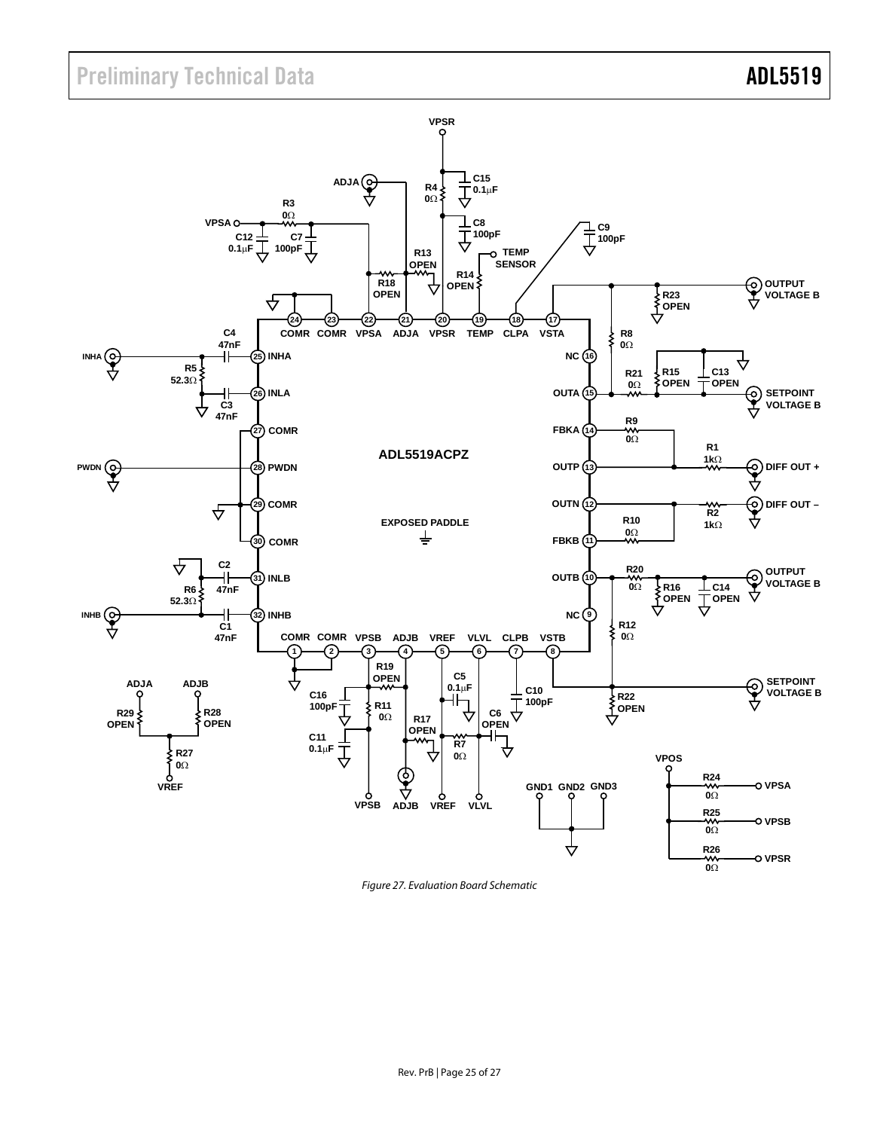

Figure 27. Evaluation Board Schematic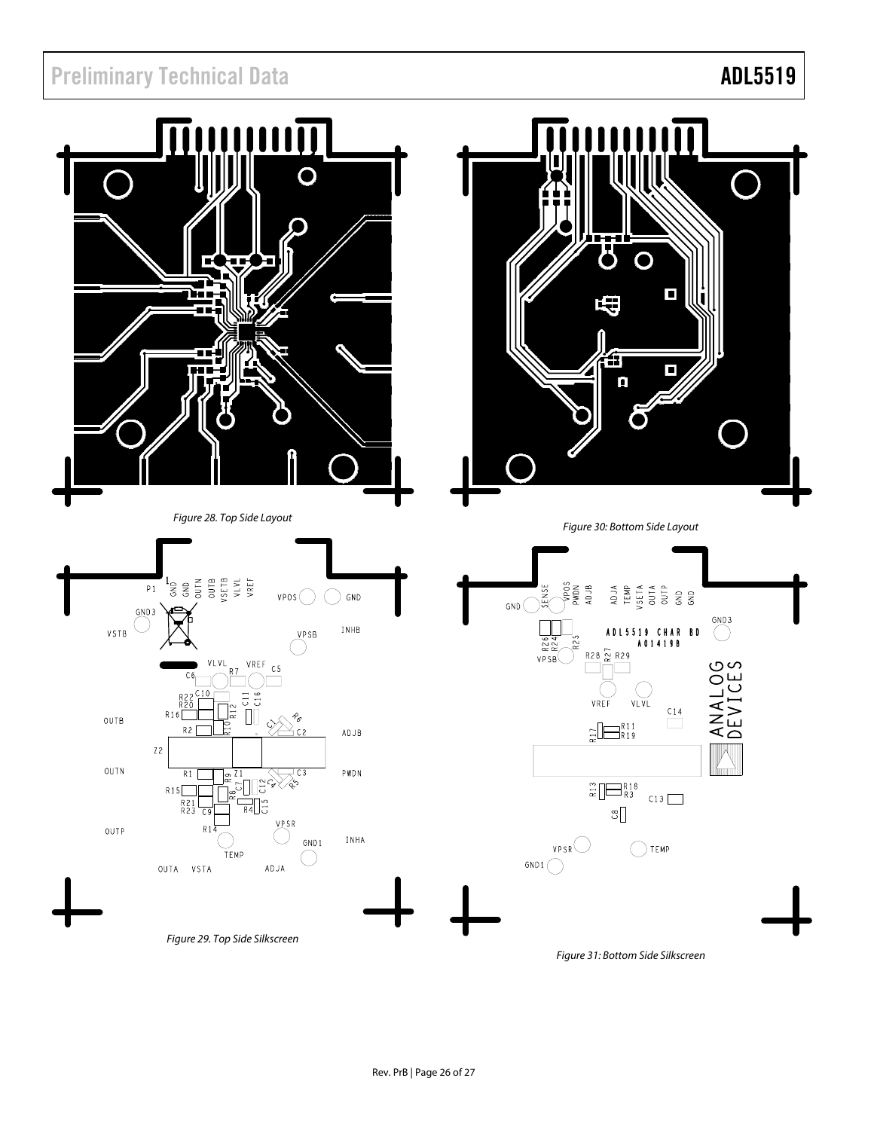

Figure 31: Bottom Side Silkscreen